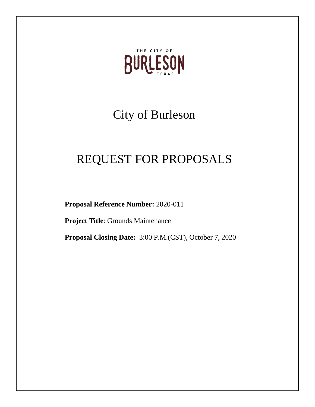

# City of Burleson

# REQUEST FOR PROPOSALS

**Proposal Reference Number:** 2020-011

**Project Title**: Grounds Maintenance

**Proposal Closing Date:** 3:00 P.M.(CST), October 7, 2020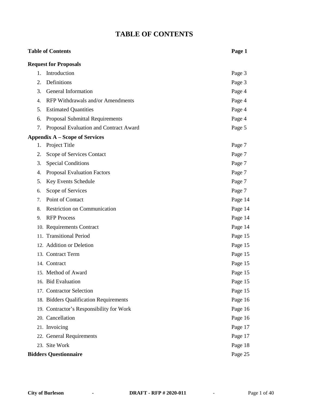# **TABLE OF CONTENTS**

# **Table of Contents Page 1 Request for Proposals** 1. Introduction Page 3 2. Definitions Page 3 3. General Information **Page 4** 4. RFP Withdrawals and/or Amendments Page 4 5. Estimated Quantities Page 4 6. Proposal Submittal Requirements Page 4 7. Proposal Evaluation and Contract Award Page 5 **Appendix A – Scope of Services** 1. Project Title Page 7 2. Scope of Services Contact Page 7 3. Special Conditions Page 7 4. Proposal Evaluation Factors **Page 7** Page 7 5. Key Events Schedule Page 7 6. Scope of Services Page 7 7. Point of Contact Page 14 8. Restriction on Communication Page 14 9. RFP Process Page 14 10. Requirements Contract Page 14 11. Transitional Period Page 15 12. Addition or Deletion **Page 15** 13. Contract Term Page 15 14. Contract Page 15 15. Method of Award Page 15 16. Bid Evaluation Page 15 17. Contractor Selection Page 15 18. Bidders Qualification Requirements Page 16 19. Contractor's Responsibility for Work Page 16 20. Cancellation Page 16 21. Invoicing Page 17 22. General Requirements Page 17 23. Site Work Page 18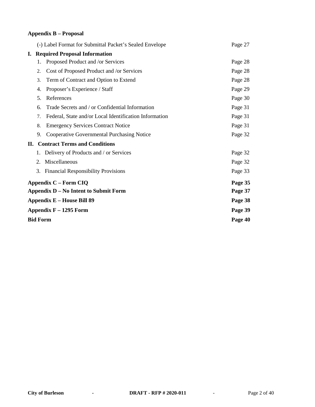# **Appendix B – Proposal**

|                                                                                                        |                                         | (-) Label Format for Submittal Packet's Sealed Envelope | Page 27 |  |
|--------------------------------------------------------------------------------------------------------|-----------------------------------------|---------------------------------------------------------|---------|--|
|                                                                                                        | <b>I.</b> Required Proposal Information |                                                         |         |  |
|                                                                                                        | 1.                                      | Proposed Product and /or Services                       | Page 28 |  |
|                                                                                                        | 2.                                      | Cost of Proposed Product and /or Services               | Page 28 |  |
|                                                                                                        | 3.                                      | Term of Contract and Option to Extend                   | Page 28 |  |
|                                                                                                        | 4.                                      | Proposer's Experience / Staff                           | Page 29 |  |
|                                                                                                        | 5.                                      | References                                              | Page 30 |  |
|                                                                                                        | 6.                                      | Trade Secrets and / or Confidential Information         | Page 31 |  |
|                                                                                                        | 7.                                      | Federal, State and/or Local Identification Information  | Page 31 |  |
|                                                                                                        | 8.                                      | <b>Emergency Services Contract Notice</b>               | Page 31 |  |
|                                                                                                        | 9.                                      | <b>Cooperative Governmental Purchasing Notice</b>       | Page 32 |  |
| <b>Contract Terms and Conditions</b><br>П.                                                             |                                         |                                                         |         |  |
|                                                                                                        |                                         | 1. Delivery of Products and / or Services               | Page 32 |  |
|                                                                                                        | 2.                                      | Miscellaneous                                           | Page 32 |  |
|                                                                                                        | 3.                                      | <b>Financial Responsibility Provisions</b>              | Page 33 |  |
|                                                                                                        |                                         | <b>Appendix C – Form CIQ</b>                            | Page 35 |  |
| Appendix D – No Intent to Submit Form<br><b>Appendix E - House Bill 89</b><br>Appendix $F - 1295$ Form |                                         |                                                         | Page 37 |  |
|                                                                                                        |                                         |                                                         | Page 38 |  |
|                                                                                                        |                                         |                                                         | Page 39 |  |
|                                                                                                        | <b>Bid Form</b>                         | Page 40                                                 |         |  |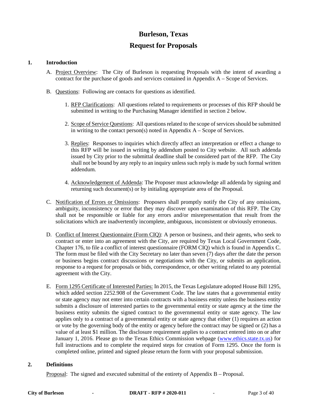# **Burleson, Texas**

# **Request for Proposals**

#### **1. Introduction**

- A. Project Overview: The City of Burleson is requesting Proposals with the intent of awarding a contract for the purchase of goods and services contained in Appendix A – Scope of Services.
- B. Questions: Following are contacts for questions as identified.
	- 1. RFP Clarifications: All questions related to requirements or processes of this RFP should be submitted in writing to the Purchasing Manager identified in section 2 below.
	- 2. Scope of Service Questions: All questions related to the scope of services should be submitted in writing to the contact person(s) noted in Appendix  $A -$ Scope of Services.
	- 3. Replies: Responses to inquiries which directly affect an interpretation or effect a change to this RFP will be issued in writing by addendum posted to City website. All such addenda issued by City prior to the submittal deadline shall be considered part of the RFP. The City shall not be bound by any reply to an inquiry unless such reply is made by such formal written addendum.
	- 4. Acknowledgement of Addenda: The Proposer must acknowledge all addenda by signing and returning such document(s) or by initialing appropriate area of the Proposal.
- C. Notification of Errors or Omissions: Proposers shall promptly notify the City of any omissions, ambiguity, inconsistency or error that they may discover upon examination of this RFP. The City shall not be responsible or liable for any errors and/or misrepresentation that result from the solicitations which are inadvertently incomplete, ambiguous, inconsistent or obviously erroneous.
- D. Conflict of Interest Questionnaire (Form CIQ): A person or business, and their agents, who seek to contract or enter into an agreement with the City, are required by Texas Local Government Code, Chapter 176, to file a conflict of interest questionnaire (FORM CIQ) which is found in Appendix C. The form must be filed with the City Secretary no later than seven (7) days after the date the person or business begins contract discussions or negotiations with the City, or submits an application, response to a request for proposals or bids, correspondence, or other writing related to any potential agreement with the City.
- E. Form 1295 Certificate of Interested Parties: In 2015, the Texas Legislature adopted House Bill 1295, which added section 2252.908 of the Government Code. The law states that a governmental entity or state agency may not enter into certain contracts with a business entity unless the business entity submits a disclosure of interested parties to the governmental entity or state agency at the time the business entity submits the signed contract to the governmental entity or state agency. The law applies only to a contract of a governmental entity or state agency that either (1) requires an action or vote by the governing body of the entity or agency before the contract may be signed or (2) has a value of at least \$1 million. The disclosure requirement applies to a contract entered into on or after January 1, 2016. Please go to the Texas Ethics Commission webpage [\(www.ethics.state.tx.us\)](http://www.ethics.state.tx.us/) for full instructions and to complete the required steps for creation of Form 1295. Once the form is completed online, printed and signed please return the form with your proposal submission.

#### **2. Definitions**

Proposal: The signed and executed submittal of the entirety of Appendix B – Proposal.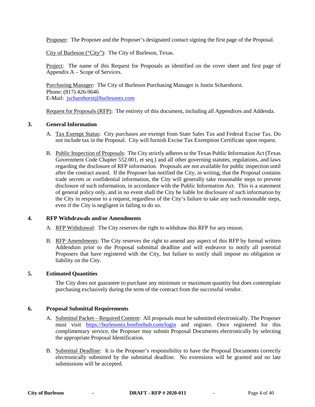Proposer: The Proposer and the Proposer's designated contact signing the first page of the Proposal.

City of Burleson ("City"): The City of Burleson, Texas.

Project: The name of this Request for Proposals as identified on the cover sheet and first page of Appendix A – Scope of Services.

Purchasing Manager: The City of Burleson Purchasing Manager is Justin Scharnhorst. Phone: (817) 426-9646 E-Mail: [jscharnhorst@burlesontx.com](mailto:jscharnhorst@burlesontx.com)

Request for Proposals (RFP): The entirety of this document, including all Appendices and Addenda.

#### **3. General Information**

- A. Tax Exempt Status: City purchases are exempt from State Sales Tax and Federal Excise Tax. Do not include tax in the Proposal. City will furnish Excise Tax Exemption Certificate upon request.
- B. Public Inspection of Proposals: The City strictly adheres to the Texas Public Information Act (Texas Government Code Chapter 552.001, et seq.) and all other governing statutes, regulations, and laws regarding the disclosure of RFP information. Proposals are not available for public inspection until after the contract award. If the Proposer has notified the City, in writing, that the Proposal contains trade secrets or confidential information, the City will generally take reasonable steps to prevent disclosure of such information, in accordance with the Public Information Act. This is a statement of general policy only, and in no event shall the City be liable for disclosure of such information by the City in response to a request, regardless of the City's failure to take any such reasonable steps, even if the City is negligent in failing to do so.

#### **4. RFP Withdrawals and/or Amendments**

- A. RFP Withdrawal: The City reserves the right to withdraw this RFP for any reason.
- B. RFP Amendments: The City reserves the right to amend any aspect of this RFP by formal written Addendum prior to the Proposal submittal deadline and will endeavor to notify all potential Proposers that have registered with the City, but failure to notify shall impose no obligation or liability on the City.

#### **5. Estimated Quantities**

The City does not guarantee to purchase any minimum or maximum quantity but does contemplate purchasing exclusively during the term of the contract from the successful vendor.

#### **6. Proposal Submittal Requirements**

- A. Submittal Packet Required Content: All proposals must be submitted electronically. The Proposer must visit <https://burlesontx.bonfirehub.com/login> and register. Once registered for this complimentary service, the Proposer may submit Proposal Documents electronically by selecting the appropriate Proposal Identification.
- B. Submittal Deadline: It is the Proposer's responsibility to have the Proposal Documents correctly electronically submitted by the submittal deadline. No extensions will be granted and no late submissions will be accepted.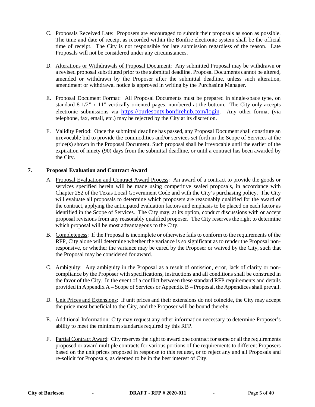- C. Proposals Received Late: Proposers are encouraged to submit their proposals as soon as possible. The time and date of receipt as recorded within the Bonfire electronic system shall be the official time of receipt. The City is not responsible for late submission regardless of the reason. Late Proposals will not be considered under any circumstances.
- D. Alterations or Withdrawals of Proposal Document: Any submitted Proposal may be withdrawn or a revised proposal substituted prior to the submittal deadline. Proposal Documents cannot be altered, amended or withdrawn by the Proposer after the submittal deadline, unless such alteration, amendment or withdrawal notice is approved in writing by the Purchasing Manager.
- E. Proposal Document Format: All Proposal Documents must be prepared in single-space type, on standard  $8-1/2$ " x 11" vertically oriented pages, numbered at the bottom. The City only accepts electronic submissions via [https://burlesontx.bonfirehub.com/login.](https://burlesontx.bonfirehub.com/login) Any other format (via telephone, fax, email, etc.) may be rejected by the City at its discretion.
- F. Validity Period: Once the submittal deadline has passed, any Proposal Document shall constitute an irrevocable bid to provide the commodities and/or services set forth in the Scope of Services at the price(s) shown in the Proposal Document. Such proposal shall be irrevocable until the earlier of the expiration of ninety (90) days from the submittal deadline, or until a contract has been awarded by the City.

#### **7. Proposal Evaluation and Contract Award**

- A. Proposal Evaluation and Contract Award Process: An award of a contract to provide the goods or services specified herein will be made using competitive sealed proposals, in accordance with Chapter 252 of the Texas Local Government Code and with the City's purchasing policy. The City will evaluate all proposals to determine which proposers are reasonably qualified for the award of the contract, applying the anticipated evaluation factors and emphasis to be placed on each factor as identified in the Scope of Services. The City may, at its option, conduct discussions with or accept proposal revisions from any reasonably qualified proposer. The City reserves the right to determine which proposal will be most advantageous to the City.
- B. Completeness: If the Proposal is incomplete or otherwise fails to conform to the requirements of the RFP, City alone will determine whether the variance is so significant as to render the Proposal nonresponsive, or whether the variance may be cured by the Proposer or waived by the City, such that the Proposal may be considered for award.
- C. Ambiguity: Any ambiguity in the Proposal as a result of omission, error, lack of clarity or noncompliance by the Proposer with specifications, instructions and all conditions shall be construed in the favor of the City. In the event of a conflict between these standard RFP requirements and details provided in Appendix A – Scope of Services or Appendix B – Proposal, the Appendices shall prevail.
- D. Unit Prices and Extensions: If unit prices and their extensions do not coincide, the City may accept the price most beneficial to the City, and the Proposer will be bound thereby.
- E. Additional Information: City may request any other information necessary to determine Proposer's ability to meet the minimum standards required by this RFP.
- F. Partial Contract Award: City reserves the right to award one contract for some or all the requirements proposed or award multiple contracts for various portions of the requirements to different Proposers based on the unit prices proposed in response to this request, or to reject any and all Proposals and re-solicit for Proposals, as deemed to be in the best interest of City.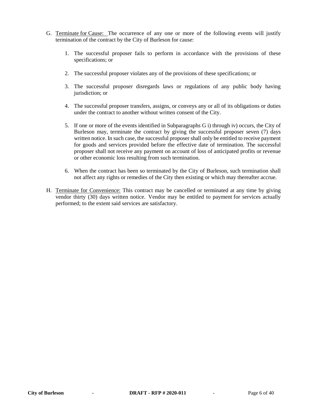- G. Terminate for Cause: The occurrence of any one or more of the following events will justify termination of the contract by the City of Burleson for cause:
	- 1. The successful proposer fails to perform in accordance with the provisions of these specifications; or
	- 2. The successful proposer violates any of the provisions of these specifications; or
	- 3. The successful proposer disregards laws or regulations of any public body having jurisdiction; or
	- 4. The successful proposer transfers, assigns, or conveys any or all of its obligations or duties under the contract to another without written consent of the City.
	- 5. If one or more of the events identified in Subparagraphs G i) through iv) occurs, the City of Burleson may, terminate the contract by giving the successful proposer seven (7) days written notice. In such case, the successful proposer shall only be entitled to receive payment for goods and services provided before the effective date of termination. The successful proposer shall not receive any payment on account of loss of anticipated profits or revenue or other economic loss resulting from such termination.
	- 6. When the contract has been so terminated by the City of Burleson, such termination shall not affect any rights or remedies of the City then existing or which may thereafter accrue.
- H. Terminate for Convenience: This contract may be cancelled or terminated at any time by giving vendor thirty (30) days written notice. Vendor may be entitled to payment for services actually performed; to the extent said services are satisfactory.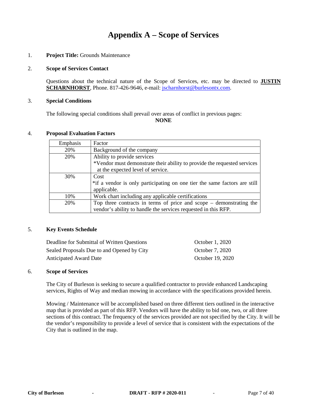# **Appendix A – Scope of Services**

#### 1. **Project Title:** Grounds Maintenance

#### 2. **Scope of Services Contact**

Questions about the technical nature of the Scope of Services, etc. may be directed to **JUSTIN SCHARNHORST**, Phone. 817-426-9646, e-mail: *jscharnhorst@burlesontx.com.* 

#### 3. **Special Conditions**

The following special conditions shall prevail over areas of conflict in previous pages: **NONE**

#### 4. **Proposal Evaluation Factors**

| Emphasis | Factor                                                                    |
|----------|---------------------------------------------------------------------------|
| 20%      | Background of the company                                                 |
| 20%      | Ability to provide services                                               |
|          | *Vendor must demonstrate their ability to provide the requested services  |
|          | at the expected level of service.                                         |
| 30%      | Cost                                                                      |
|          | *if a vendor is only participating on one tier the same factors are still |
|          | applicable.                                                               |
| 10%      | Work chart including any applicable certifications                        |
| 20%      | Top three contracts in terms of price and scope $-$ demonstrating the     |
|          | vendor's ability to handle the services requested in this RFP.            |

#### 5. **Key Events Schedule**

| Deadline for Submittal of Written Questions | October 1, 2020  |
|---------------------------------------------|------------------|
| Sealed Proposals Due to and Opened by City  | October 7, 2020  |
| <b>Anticipated Award Date</b>               | October 19, 2020 |

#### 6. **Scope of Services**

The City of Burleson is seeking to secure a qualified contractor to provide enhanced Landscaping services, Rights of Way and median mowing in accordance with the specifications provided herein.

Mowing / Maintenance will be accomplished based on three different tiers outlined in the interactive map that is provided as part of this RFP. Vendors will have the ability to bid one, two, or all three sections of this contract. The frequency of the services provided are not specified by the City. It will be the vendor's responsibility to provide a level of service that is consistent with the expectations of the City that is outlined in the map.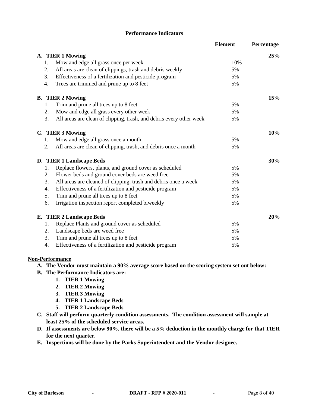#### **Performance Indicators**

|                |                                                                     | <b>Element</b> | Percentage |
|----------------|---------------------------------------------------------------------|----------------|------------|
|                | A. TIER 1 Mowing                                                    |                | 25%        |
| 1.             | Mow and edge all grass once per week                                | 10%            |            |
| 2.             | All areas are clean of clippings, trash and debris weekly           | 5%             |            |
| 3.             | Effectiveness of a fertilization and pesticide program              | 5%             |            |
| 4.             | Trees are trimmed and prune up to 8 feet                            | 5%             |            |
|                | <b>B.</b> TIER 2 Mowing                                             |                | 15%        |
| 1.             | Trim and prune all trees up to 8 feet                               | 5%             |            |
| 2.             | Mow and edge all grass every other week                             | 5%             |            |
| 3.             | All areas are clean of clipping, trash, and debris every other week | 5%             |            |
|                | C. TIER 3 Mowing                                                    |                | 10%        |
| 1.             | Mow and edge all grass once a month                                 | 5%             |            |
| 2.             | All areas are clean of clipping, trash, and debris once a month     | 5%             |            |
|                | D. TIER 1 Landscape Beds                                            |                | 30%        |
| 1.             | Replace flowers, plants, and ground cover as scheduled              | 5%             |            |
| 2.             | Flower beds and ground cover beds are weed free                     | 5%             |            |
| 3.             | All areas are cleaned of clipping, trash and debris once a week     | 5%             |            |
| 4.             | Effectiveness of a fertilization and pesticide program              | 5%             |            |
| 5 <sub>1</sub> | Trim and prune all trees up to 8 feet                               | 5%             |            |
| 6.             | Irrigation inspection report completed biweekly                     | 5%             |            |
|                | E. TIER 2 Landscape Beds                                            |                | 20%        |
| 1.             | Replace Plants and ground cover as scheduled                        | 5%             |            |
| 2.             | Landscape beds are weed free                                        | 5%             |            |
| 3.             | Trim and prune all trees up to 8 feet                               | 5%             |            |
| 4.             | Effectiveness of a fertilization and pesticide program              | 5%             |            |

#### **Non-Performance**

#### **A. The Vendor must maintain a 90% average score based on the scoring system set out below:**

- **B. The Performance Indicators are:**
	- **1. TIER 1 Mowing**
	- **2. TIER 2 Mowing**
	- **3. TIER 3 Mowing**
	- **4. TIER 1 Landscape Beds**
	- **5. TIER 2 Landscape Beds**
- **C. Staff will perform quarterly condition assessments. The condition assessment will sample at least 25% of the scheduled service areas.**
- **D. If assessments are below 90%, there will be a 5% deduction in the monthly charge for that TIER for the next quarter.**
- **E. Inspections will be done by the Parks Superintendent and the Vendor designee.**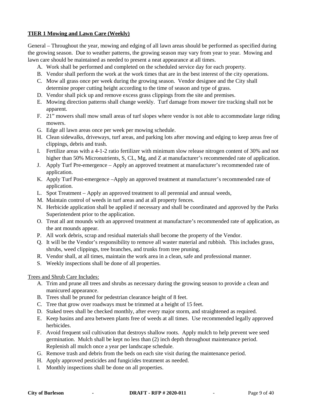### **TIER 1 Mowing and Lawn Care (Weekly)**

General – Throughout the year, mowing and edging of all lawn areas should be performed as specified during the growing season. Due to weather patterns, the growing season may vary from year to year. Mowing and lawn care should be maintained as needed to present a neat appearance at all times.

- A. Work shall be performed and completed on the scheduled service day for each property.
- B. Vendor shall perform the work at the work times that are in the best interest of the city operations.
- C. Mow all grass once per week during the growing season. Vendor designee and the City shall determine proper cutting height according to the time of season and type of grass.
- D. Vendor shall pick up and remove excess grass clippings from the site and premises.
- E. Mowing direction patterns shall change weekly. Turf damage from mower tire tracking shall not be apparent.
- F. 21" mowers shall mow small areas of turf slopes where vendor is not able to accommodate large riding mowers.
- G. Edge all lawn areas once per week per mowing schedule.
- H. Clean sidewalks, driveways, turf areas, and parking lots after mowing and edging to keep areas free of clippings, debris and trash.
- I. Fertilize areas with a 4-1-2 ratio fertilizer with minimum slow release nitrogen content of 30% and not higher than 50% Micronutrients, S, CL, Mg, and Z at manufacturer's recommended rate of application.
- J. Apply Turf Pre-emergence Apply an approved treatment at manufacturer's recommended rate of application.
- K. Apply Turf Post-emergence –Apply an approved treatment at manufacturer's recommended rate of application.
- L. Spot Treatment Apply an approved treatment to all perennial and annual weeds,
- M. Maintain control of weeds in turf areas and at all property fences.
- N. Herbicide application shall be applied if necessary and shall be coordinated and approved by the Parks Superintendent prior to the application.
- O. Treat all ant mounds with an approved treatment at manufacture's recommended rate of application, as the ant mounds appear.
- P. All work debris, scrap and residual materials shall become the property of the Vendor.
- Q. It will be the Vendor's responsibility to remove all waster material and rubbish. This includes grass, shrubs, weed clippings, tree branches, and trunks from tree pruning.
- R. Vendor shall, at all times, maintain the work area in a clean, safe and professional manner.
- S. Weekly inspections shall be done of all properties.

Trees and Shrub Care Includes:

- A. Trim and prune all trees and shrubs as necessary during the growing season to provide a clean and manicured appearance.
- B. Trees shall be pruned for pedestrian clearance height of 8 feet.
- C. Tree that grow over roadways must be trimmed at a height of 15 feet.
- D. Staked trees shall be checked monthly, after every major storm, and straightened as required.
- E. Keep basins and area between plants free of weeds at all times. Use recommended legally approved herbicides.
- F. Avoid frequent soil cultivation that destroys shallow roots. Apply mulch to help prevent wee seed germination. Mulch shall be kept no less than (2) inch depth throughout maintenance period. Replenish all mulch once a year per landscape schedule.
- G. Remove trash and debris from the beds on each site visit during the maintenance period.
- H. Apply approved pesticides and fungicides treatment as needed.
- I. Monthly inspections shall be done on all properties.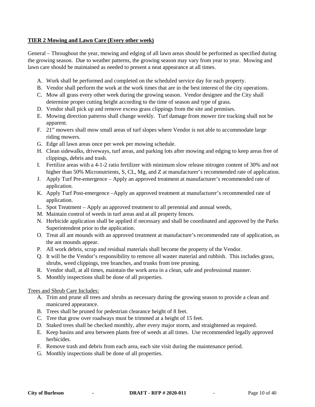#### **TIER 2 Mowing and Lawn Care (Every other week)**

General – Throughout the year, mowing and edging of all lawn areas should be performed as specified during the growing season. Due to weather patterns, the growing season may vary from year to year. Mowing and lawn care should be maintained as needed to present a neat appearance at all times.

- A. Work shall be performed and completed on the scheduled service day for each property.
- B. Vendor shall perform the work at the work times that are in the best interest of the city operations.
- C. Mow all grass every other week during the growing season. Vendor designee and the City shall determine proper cutting height according to the time of season and type of grass.
- D. Vendor shall pick up and remove excess grass clippings from the site and premises.
- E. Mowing direction patterns shall change weekly. Turf damage from mower tire tracking shall not be apparent.
- F. 21" mowers shall mow small areas of turf slopes where Vendor is not able to accommodate large riding mowers.
- G. Edge all lawn areas once per week per mowing schedule.
- H. Clean sidewalks, driveways, turf areas, and parking lots after mowing and edging to keep areas free of clippings, debris and trash.
- I. Fertilize areas with a 4-1-2 ratio fertilizer with minimum slow release nitrogen content of 30% and not higher than 50% Micronutrients, S, CL, Mg, and Z at manufacturer's recommended rate of application.
- J. Apply Turf Pre-emergence Apply an approved treatment at manufacturer's recommended rate of application.
- K. Apply Turf Post-emergence –Apply an approved treatment at manufacturer's recommended rate of application.
- L. Spot Treatment Apply an approved treatment to all perennial and annual weeds,
- M. Maintain control of weeds in turf areas and at all property fences.
- N. Herbicide application shall be applied if necessary and shall be coordinated and approved by the Parks Superintendent prior to the application.
- O. Treat all ant mounds with an approved treatment at manufacture's recommended rate of application, as the ant mounds appear.
- P. All work debris, scrap and residual materials shall become the property of the Vendor.
- Q. It will be the Vendor's responsibility to remove all waster material and rubbish. This includes grass, shrubs, weed clippings, tree branches, and trunks from tree pruning.
- R. Vendor shall, at all times, maintain the work area in a clean, safe and professional manner.
- S. Monthly inspections shall be done of all properties.

#### Trees and Shrub Care Includes:

- A. Trim and prune all trees and shrubs as necessary during the growing season to provide a clean and manicured appearance.
- B. Trees shall be pruned for pedestrian clearance height of 8 feet.
- C. Tree that grow over roadways must be trimmed at a height of 15 feet.
- D. Staked trees shall be checked monthly, after every major storm, and straightened as required.
- E. Keep basins and area between plants free of weeds at all times. Use recommended legally approved herbicides.
- F. Remove trash and debris from each area, each site visit during the maintenance period.
- G. Monthly inspections shall be done of all properties.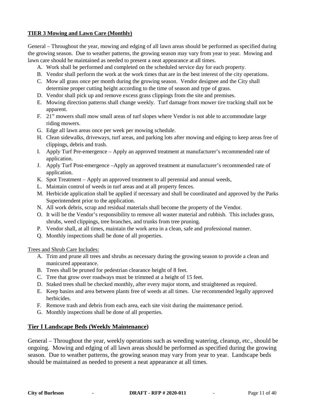### **TIER 3 Mowing and Lawn Care (Monthly)**

General – Throughout the year, mowing and edging of all lawn areas should be performed as specified during the growing season. Due to weather patterns, the growing season may vary from year to year. Mowing and lawn care should be maintained as needed to present a neat appearance at all times.

- A. Work shall be performed and completed on the scheduled service day for each property.
- B. Vendor shall perform the work at the work times that are in the best interest of the city operations.
- C. Mow all grass once per month during the growing season. Vendor designee and the City shall determine proper cutting height according to the time of season and type of grass.
- D. Vendor shall pick up and remove excess grass clippings from the site and premises.
- E. Mowing direction patterns shall change weekly. Turf damage from mower tire tracking shall not be apparent.
- F. 21" mowers shall mow small areas of turf slopes where Vendor is not able to accommodate large riding mowers.
- G. Edge all lawn areas once per week per mowing schedule.
- H. Clean sidewalks, driveways, turf areas, and parking lots after mowing and edging to keep areas free of clippings, debris and trash.
- I. Apply Turf Pre-emergence Apply an approved treatment at manufacturer's recommended rate of application.
- J. Apply Turf Post-emergence –Apply an approved treatment at manufacturer's recommended rate of application.
- K. Spot Treatment Apply an approved treatment to all perennial and annual weeds,
- L. Maintain control of weeds in turf areas and at all property fences.
- M. Herbicide application shall be applied if necessary and shall be coordinated and approved by the Parks Superintendent prior to the application.
- N. All work debris, scrap and residual materials shall become the property of the Vendor.
- O. It will be the Vendor's responsibility to remove all waster material and rubbish. This includes grass, shrubs, weed clippings, tree branches, and trunks from tree pruning.
- P. Vendor shall, at all times, maintain the work area in a clean, safe and professional manner.
- Q. Monthly inspections shall be done of all properties.

Trees and Shrub Care Includes:

- A. Trim and prune all trees and shrubs as necessary during the growing season to provide a clean and manicured appearance.
- B. Trees shall be pruned for pedestrian clearance height of 8 feet.
- C. Tree that grow over roadways must be trimmed at a height of 15 feet.
- D. Staked trees shall be checked monthly, after every major storm, and straightened as required.
- E. Keep basins and area between plants free of weeds at all times. Use recommended legally approved herbicides.
- F. Remove trash and debris from each area, each site visit during the maintenance period.
- G. Monthly inspections shall be done of all properties.

### **Tier I Landscape Beds (Weekly Maintenance)**

General – Throughout the year, weekly operations such as weeding watering, cleanup, etc., should be ongoing. Mowing and edging of all lawn areas should be performed as specified during the growing season. Due to weather patterns, the growing season may vary from year to year. Landscape beds should be maintained as needed to present a neat appearance at all times.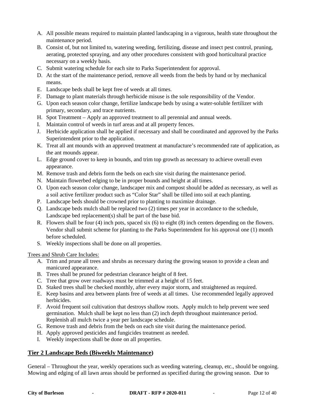- A. All possible means required to maintain planted landscaping in a vigorous, health state throughout the maintenance period.
- B. Consist of, but not limited to, watering weeding, fertilizing, disease and insect pest control, pruning, aerating, protected spraying, and any other procedures consistent with good horticultural practice necessary on a weekly basis.
- C. Submit watering schedule for each site to Parks Superintendent for approval.
- D. At the start of the maintenance period, remove all weeds from the beds by hand or by mechanical means.
- E. Landscape beds shall be kept free of weeds at all times.
- F. Damage to plant materials through herbicide misuse is the sole responsibility of the Vendor.
- G. Upon each season color change, fertilize landscape beds by using a water-soluble fertilizer with primary, secondary, and trace nutrients.
- H. Spot Treatment Apply an approved treatment to all perennial and annual weeds.
- I. Maintain control of weeds in turf areas and at all property fences.
- J. Herbicide application shall be applied if necessary and shall be coordinated and approved by the Parks Superintendent prior to the application.
- K. Treat all ant mounds with an approved treatment at manufacture's recommended rate of application, as the ant mounds appear.
- L. Edge ground cover to keep in bounds, and trim top growth as necessary to achieve overall even appearance.
- M. Remove trash and debris form the beds on each site visit during the maintenance period.
- N. Maintain flowerbed edging to be in proper bounds and height at all times.
- O. Upon each season color change, landscaper mix and compost should be added as necessary, as well as a soil active fertilizer product such as "Color Star" shall be tilled into soil at each planting.
- P. Landscape beds should be crowned prior to planting to maximize drainage.
- Q. Landscape beds mulch shall be replaced two (2) times per year in accordance to the schedule, Landscape bed replacement(s) shall be part of the base bid.
- R. Flowers shall be four (4) inch pots, spaced six (6) to eight (8) inch centers depending on the flowers. Vendor shall submit scheme for planting to the Parks Superintendent for his approval one (1) month before scheduled.
- S. Weekly inspections shall be done on all properties.

#### Trees and Shrub Care Includes:

- A. Trim and prune all trees and shrubs as necessary during the growing season to provide a clean and manicured appearance.
- B. Trees shall be pruned for pedestrian clearance height of 8 feet.
- C. Tree that grow over roadways must be trimmed at a height of 15 feet.
- D. Staked trees shall be checked monthly, after every major storm, and straightened as required.
- E. Keep basins and area between plants free of weeds at all times. Use recommended legally approved herbicides.
- F. Avoid frequent soil cultivation that destroys shallow roots. Apply mulch to help prevent wee seed germination. Mulch shall be kept no less than (2) inch depth throughout maintenance period. Replenish all mulch twice a year per landscape schedule.
- G. Remove trash and debris from the beds on each site visit during the maintenance period.
- H. Apply approved pesticides and fungicides treatment as needed.
- I. Weekly inspections shall be done on all properties.

### **Tier 2 Landscape Beds (Biweekly Maintenance)**

General – Throughout the year, weekly operations such as weeding watering, cleanup, etc., should be ongoing. Mowing and edging of all lawn areas should be performed as specified during the growing season. Due to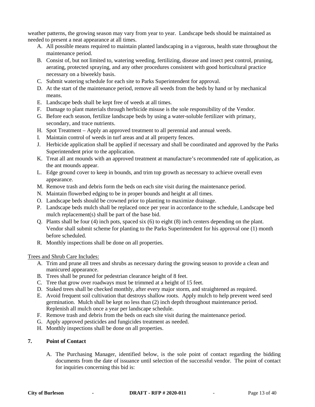weather patterns, the growing season may vary from year to year. Landscape beds should be maintained as needed to present a neat appearance at all times.

- A. All possible means required to maintain planted landscaping in a vigorous, health state throughout the maintenance period.
- B. Consist of, but not limited to, watering weeding, fertilizing, disease and insect pest control, pruning, aerating, protected spraying, and any other procedures consistent with good horticultural practice necessary on a biweekly basis.
- C. Submit watering schedule for each site to Parks Superintendent for approval.
- D. At the start of the maintenance period, remove all weeds from the beds by hand or by mechanical means.
- E. Landscape beds shall be kept free of weeds at all times.
- F. Damage to plant materials through herbicide misuse is the sole responsibility of the Vendor.
- G. Before each season, fertilize landscape beds by using a water-soluble fertilizer with primary, secondary, and trace nutrients.
- H. Spot Treatment Apply an approved treatment to all perennial and annual weeds.
- I. Maintain control of weeds in turf areas and at all property fences.
- J. Herbicide application shall be applied if necessary and shall be coordinated and approved by the Parks Superintendent prior to the application.
- K. Treat all ant mounds with an approved treatment at manufacture's recommended rate of application, as the ant mounds appear.
- L. Edge ground cover to keep in bounds, and trim top growth as necessary to achieve overall even appearance.
- M. Remove trash and debris form the beds on each site visit during the maintenance period.
- N. Maintain flowerbed edging to be in proper bounds and height at all times.
- O. Landscape beds should be crowned prior to planting to maximize drainage.
- P. Landscape beds mulch shall be replaced once per year in accordance to the schedule, Landscape bed mulch replacement(s) shall be part of the base bid.
- Q. Plants shall be four (4) inch pots, spaced six (6) to eight (8) inch centers depending on the plant. Vendor shall submit scheme for planting to the Parks Superintendent for his approval one (1) month before scheduled.
- R. Monthly inspections shall be done on all properties.

#### Trees and Shrub Care Includes:

- A. Trim and prune all trees and shrubs as necessary during the growing season to provide a clean and manicured appearance.
- B. Trees shall be pruned for pedestrian clearance height of 8 feet.
- C. Tree that grow over roadways must be trimmed at a height of 15 feet.
- D. Staked trees shall be checked monthly, after every major storm, and straightened as required.
- E. Avoid frequent soil cultivation that destroys shallow roots. Apply mulch to help prevent weed seed germination. Mulch shall be kept no less than (2) inch depth throughout maintenance period. Replenish all mulch once a year per landscape schedule.
- F. Remove trash and debris from the beds on each site visit during the maintenance period.
- G. Apply approved pesticides and fungicides treatment as needed.
- H. Monthly inspections shall be done on all properties.

#### **7. Point of Contact**

A. The Purchasing Manager, identified below, is the sole point of contact regarding the bidding documents from the date of issuance until selection of the successful vendor. The point of contact for inquiries concerning this bid is: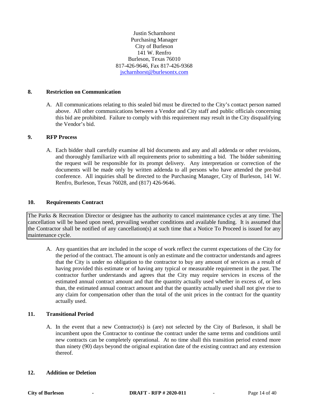Justin Scharnhorst Purchasing Manager City of Burleson 141 W. Renfro Burleson, Texas 76010 817-426-9646, Fax 817-426-9368 [jscharnhorst@burlesontx.com](mailto:jscharnhorst@burlesontx.com) 

#### **8. Restriction on Communication**

A. All communications relating to this sealed bid must be directed to the City's contact person named above. All other communications between a Vendor and City staff and public officials concerning this bid are prohibited. Failure to comply with this requirement may result in the City disqualifying the Vendor's bid.

#### **9. RFP Process**

A. Each bidder shall carefully examine all bid documents and any and all addenda or other revisions, and thoroughly familiarize with all requirements prior to submitting a bid. The bidder submitting the request will be responsible for its prompt delivery. Any interpretation or correction of the documents will be made only by written addenda to all persons who have attended the pre-bid conference. All inquiries shall be directed to the Purchasing Manager, City of Burleson, 141 W. Renfro, Burleson, Texas 76028, and (817) 426-9646.

#### **10. Requirements Contract**

The Parks & Recreation Director or designee has the authority to cancel maintenance cycles at any time. The cancellation will be based upon need, prevailing weather conditions and available funding. It is assumed that the Contractor shall be notified of any cancellation(s) at such time that a Notice To Proceed is issued for any maintenance cycle.

A. Any quantities that are included in the scope of work reflect the current expectations of the City for the period of the contract. The amount is only an estimate and the contractor understands and agrees that the City is under no obligation to the contractor to buy any amount of services as a result of having provided this estimate or of having any typical or measurable requirement in the past. The contractor further understands and agrees that the City may require services in excess of the estimated annual contract amount and that the quantity actually used whether in excess of, or less than, the estimated annual contract amount and that the quantity actually used shall not give rise to any claim for compensation other than the total of the unit prices in the contract for the quantity actually used.

#### **11. Transitional Period**

A. In the event that a new Contractor(s) is (are) not selected by the City of Burleson, it shall be incumbent upon the Contractor to continue the contract under the same terms and conditions until new contracts can be completely operational. At no time shall this transition period extend more than ninety (90) days beyond the original expiration date of the existing contract and any extension thereof.

#### **12. Addition or Deletion**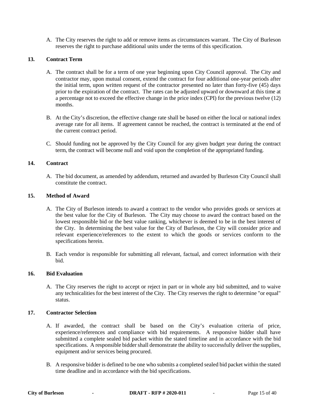A. The City reserves the right to add or remove items as circumstances warrant. The City of Burleson reserves the right to purchase additional units under the terms of this specification.

#### **13. Contract Term**

- A. The contract shall be for a term of one year beginning upon City Council approval. The City and contractor may, upon mutual consent, extend the contract for four additional one-year periods after the initial term, upon written request of the contractor presented no later than forty-five (45) days prior to the expiration of the contract. The rates can be adjusted upward or downward at this time at a percentage not to exceed the effective change in the price index (CPI) for the previous twelve (12) months.
- B. At the City's discretion, the effective change rate shall be based on either the local or national index average rate for all items. If agreement cannot be reached, the contract is terminated at the end of the current contract period.
- C. Should funding not be approved by the City Council for any given budget year during the contract term, the contract will become null and void upon the completion of the appropriated funding.

#### **14. Contract**

A. The bid document, as amended by addendum, returned and awarded by Burleson City Council shall constitute the contract.

#### **15. Method of Award**

- A. The City of Burleson intends to award a contract to the vendor who provides goods or services at the best value for the City of Burleson. The City may choose to award the contract based on the lowest responsible bid or the best value ranking, whichever is deemed to be in the best interest of the City. In determining the best value for the City of Burleson, the City will consider price and relevant experience/references to the extent to which the goods or services conform to the specifications herein.
- B. Each vendor is responsible for submitting all relevant, factual, and correct information with their bid.

#### **16. Bid Evaluation**

A. The City reserves the right to accept or reject in part or in whole any bid submitted, and to waive any technicalities for the best interest of the City. The City reserves the right to determine "or equal" status.

#### **17. Contractor Selection**

- A. If awarded, the contract shall be based on the City's evaluation criteria of price, experience/references and compliance with bid requirements. A responsive bidder shall have submitted a complete sealed bid packet within the stated timeline and in accordance with the bid specifications. A responsible bidder shall demonstrate the ability to successfully deliver the supplies, equipment and/or services being procured.
- B. A responsive bidder is defined to be one who submits a completed sealed bid packet within the stated time deadline and in accordance with the bid specifications.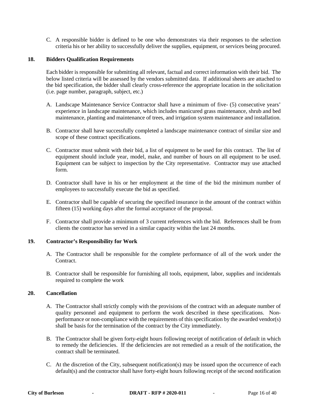C. A responsible bidder is defined to be one who demonstrates via their responses to the selection criteria his or her ability to successfully deliver the supplies, equipment, or services being procured.

#### **18. Bidders Qualification Requirements**

Each bidder is responsible for submitting all relevant, factual and correct information with their bid. The below listed criteria will be assessed by the vendors submitted data. If additional sheets are attached to the bid specification, the bidder shall clearly cross-reference the appropriate location in the solicitation (i.e. page number, paragraph, subject, etc.)

- A. Landscape Maintenance Service Contractor shall have a minimum of five- (5) consecutive years' experience in landscape maintenance, which includes manicured grass maintenance, shrub and bed maintenance, planting and maintenance of trees, and irrigation system maintenance and installation.
- B. Contractor shall have successfully completed a landscape maintenance contract of similar size and scope of these contract specifications.
- C. Contractor must submit with their bid, a list of equipment to be used for this contract. The list of equipment should include year, model, make, and number of hours on all equipment to be used. Equipment can be subject to inspection by the City representative. Contractor may use attached form.
- D. Contractor shall have in his or her employment at the time of the bid the minimum number of employees to successfully execute the bid as specified.
- E. Contractor shall be capable of securing the specified insurance in the amount of the contract within fifteen (15) working days after the formal acceptance of the proposal.
- F. Contractor shall provide a minimum of 3 current references with the bid. References shall be from clients the contractor has served in a similar capacity within the last 24 months.

#### **19. Contractor's Responsibility for Work**

- A. The Contractor shall be responsible for the complete performance of all of the work under the Contract.
- B. Contractor shall be responsible for furnishing all tools, equipment, labor, supplies and incidentals required to complete the work

#### **20. Cancellation**

- A. The Contractor shall strictly comply with the provisions of the contract with an adequate number of quality personnel and equipment to perform the work described in these specifications. Nonperformance or non-compliance with the requirements of this specification by the awarded vendor(s) shall be basis for the termination of the contract by the City immediately.
- B. The Contractor shall be given forty-eight hours following receipt of notification of default in which to remedy the deficiencies. If the deficiencies are not remedied as a result of the notification, the contract shall be terminated.
- C. At the discretion of the City, subsequent notification(s) may be issued upon the occurrence of each default(s) and the contractor shall have forty-eight hours following receipt of the second notification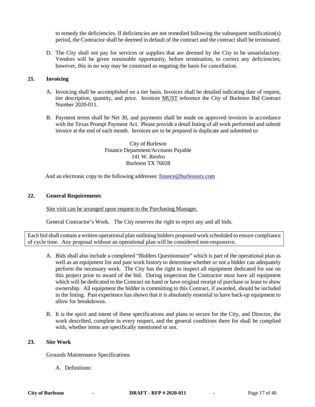to remedy the deficiencies. If deficiencies are not remedied following the subsequent notification(s) period, the Contractor shall be deemed in default of the contract and the contract shall be terminated.

D. The City shall not pay for services or supplies that are deemed by the City to be unsatisfactory. Vendors will be given reasonable opportunity, before termination, to correct any deficiencies; however, this in no way may be construed as negating the basis for cancellation.

#### **21. Invoicing**

- A. Invoicing shall be accomplished on a tier basis. Invoices shall be detailed indicating date of request, tier description, quantity, and price. Invoices MUST reference the City of Burleson Bid Contract Number 2020-011.
- B. Payment terms shall be Net 30, and payments shall be made on approved invoices in accordance with the Texas Prompt Payment Act. Please provide a detail listing of all work performed and submit invoice at the end of each month. Invoices are to be prepared in duplicate and submitted to:

City of Burleson Finance Department/Accounts Payable 141 W. Renfro Burleson TX 76028

And an electronic copy to the following addresses: [finance@burlesontx.com](mailto:finance@burlesontx.com)

#### **22. General Requirements**

Site visit can be arranged upon request to the Purchasing Manager.

General Contractor's Work. The City reserves the right to reject any and all bids.

Each bid shall contain a written operational plan outlining bidders proposed work scheduled to ensure compliance of cycle time. Any proposal without an operational plan will be considered non-responsive.

- A. Bids shall also include a completed "Bidders Questionnaire" which is part of the operational plan as well as an equipment list and past work history to determine whether or not a bidder can adequately perform the necessary work. The City has the right to inspect all equipment dedicated for use on this project prior to award of the bid. During inspection the Contractor must have all equipment which will be dedicated to the Contract on hand or have original receipt of purchase or lease to show ownership. All equipment the bidder is committing to this Contract, if awarded, should be included in the listing. Past experience has shown that it is absolutely essential to have back-up equipment to allow for breakdowns.
- B. It is the spirit and intent of these specifications and plans to secure for the City, and Director, the work described, complete in every respect, and the general conditions there for shall be complied with, whether items are specifically mentioned or not.

#### **23. Site Work**

Grounds Maintenance Specifications

A. Definitions: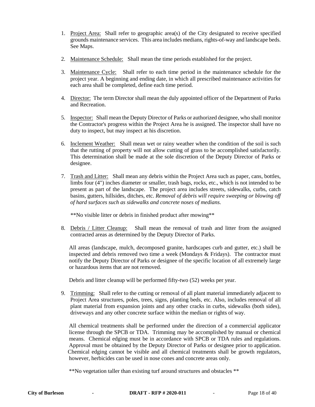- 1. Project Area: Shall refer to geographic area(s) of the City designated to receive specified grounds maintenance services. This area includes medians, rights-of-way and landscape beds. See Maps.
- 2. Maintenance Schedule: Shall mean the time periods established for the project.
- 3. Maintenance Cycle: Shall refer to each time period in the maintenance schedule for the project year. A beginning and ending date, in which all prescribed maintenance activities for each area shall be completed, define each time period.
- 4. Director: The term Director shall mean the duly appointed officer of the Department of Parks and Recreation.
- 5. Inspector: Shall mean the Deputy Director of Parks or authorized designee, who shall monitor the Contractor's progress within the Project Area he is assigned. The inspector shall have no duty to inspect, but may inspect at his discretion.
- 6. Inclement Weather: Shall mean wet or rainy weather when the condition of the soil is such that the rutting of property will not allow cutting of grass to be accomplished satisfactorily. This determination shall be made at the sole discretion of the Deputy Director of Parks or designee.
- 7. Trash and Litter: Shall mean any debris within the Project Area such as paper, cans, bottles, limbs four (4") inches diameter or smaller, trash bags, rocks, etc., which is not intended to be present as part of the landscape. The project area includes streets, sidewalks, curbs, catch basins, gutters, hillsides, ditches, etc. *Removal of debris will require sweeping or blowing off of hard surfaces such as sidewalks and concrete noses of medians.*

\*\*No visible litter or debris in finished product after mowing\*\*

8. Debris / Litter Cleanup: Shall mean the removal of trash and litter from the assigned contracted areas as determined by the Deputy Director of Parks.

 All areas (landscape, mulch, decomposed granite, hardscapes curb and gutter, etc.) shall be inspected and debris removed two time a week (Mondays & Fridays). The contractor must notify the Deputy Director of Parks or designee of the specific location of all extremely large or hazardous items that are not removed.

Debris and litter cleanup will be performed fifty-two (52) weeks per year.

9. Trimming: Shall refer to the cutting or removal of all plant material immediately adjacent to Project Area structures, poles, trees, signs, planting beds, etc. Also, includes removal of all plant material from expansion joints and any other cracks in curbs, sidewalks (both sides), driveways and any other concrete surface within the median or rights of way.

 All chemical treatments shall be performed under the direction of a commercial applicator license through the SPCB or TDA. Trimming may be accomplished by manual or chemical means. Chemical edging must be in accordance with SPCB or TDA rules and regulations. Approval must be obtained by the Deputy Director of Parks or designee prior to application. Chemical edging cannot be visible and all chemical treatments shall be growth regulators, however, herbicides can be used in nose cones and concrete areas only.

\*\*No vegetation taller than existing turf around structures and obstacles \*\*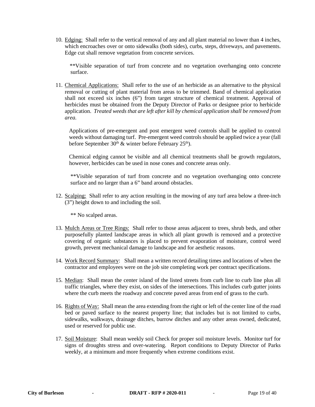10. Edging: Shall refer to the vertical removal of any and all plant material no lower than 4 inches, which encroaches over or onto sidewalks (both sides), curbs, steps, driveways, and pavements. Edge cut shall remove vegetation from concrete services.

 \*\*Visible separation of turf from concrete and no vegetation overhanging onto concrete surface.

11. Chemical Applications: Shall refer to the use of an herbicide as an alternative to the physical removal or cutting of plant material from areas to be trimmed. Band of chemical application shall not exceed six inches (6") from target structure of chemical treatment. Approval of herbicides must be obtained from the Deputy Director of Parks or designee prior to herbicide application. *Treated weeds that are left after kill by chemical application shall be removed from area.*

 Applications of pre-emergent and post emergent weed controls shall be applied to control weeds without damaging turf. Pre-emergent weed controls should be applied twice a year (fall before September  $30<sup>th</sup>$  & winter before February  $25<sup>th</sup>$ ).

 Chemical edging cannot be visible and all chemical treatments shall be growth regulators, however, herbicides can be used in nose cones and concrete areas only.

 \*\*Visible separation of turf from concrete and no vegetation overhanging onto concrete surface and no larger than a 6" band around obstacles.

12. Scalping: Shall refer to any action resulting in the mowing of any turf area below a three-inch (3") height down to and including the soil.

\*\* No scalped areas.

- 13. Mulch Areas or Tree Rings: Shall refer to those areas adjacent to trees, shrub beds, and other purposefully planted landscape areas in which all plant growth is removed and a protective covering of organic substances is placed to prevent evaporation of moisture, control weed growth, prevent mechanical damage to landscape and for aesthetic reasons.
- 14. Work Record Summary: Shall mean a written record detailing times and locations of when the contractor and employees were on the job site completing work per contract specifications.
- 15. Median: Shall mean the center island of the listed streets from curb line to curb line plus all traffic triangles, where they exist, on sides of the intersections. This includes curb gutter joints where the curb meets the roadway and concrete paved areas from end of grass to the curb.
- 16. Rights of Way: Shall mean the area extending from the right or left of the center line of the road bed or paved surface to the nearest property line; that includes but is not limited to curbs, sidewalks, walkways, drainage ditches, burrow ditches and any other areas owned, dedicated, used or reserved for public use.
- 17. Soil Moisture: Shall mean weekly soil Check for proper soil moisture levels. Monitor turf for signs of droughts stress and over-watering. Report conditions to Deputy Director of Parks weekly, at a minimum and more frequently when extreme conditions exist.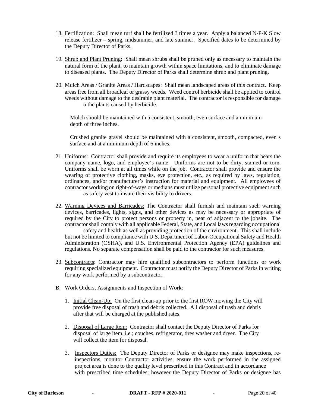- 18. Fertilization: Shall mean turf shall be fertilized 3 times a year. Apply a balanced N-P-K Slow release fertilizer – spring, midsummer, and late summer. Specified dates to be determined by the Deputy Director of Parks.
- 19. Shrub and Plant Pruning: Shall mean shrubs shall be pruned only as necessary to maintain the natural form of the plant, to maintain growth within space limitations, and to eliminate damage to diseased plants. The Deputy Director of Parks shall determine shrub and plant pruning.
- 20. Mulch Areas / Granite Areas / Hardscapes: Shall mean landscaped areas of this contract. Keep areas free from all broadleaf or grassy weeds. Weed control herbicide shall be applied to control weeds without damage to the desirable plant material. The contractor is responsible for damage o the plants caused by herbicide.

 Mulch should be maintained with a consistent, smooth, even surface and a minimum depth of three inches.

 Crushed granite gravel should be maintained with a consistent, smooth, compacted, even s surface and at a minimum depth of 6 inches.

- 21. Uniforms: Contractor shall provide and require its employees to wear a uniform that bears the company name, logo, and employee's name. Uniforms are not to be dirty, stained or torn. Uniforms shall be worn at all times while on the job. Contractor shall provide and ensure the wearing of protective clothing, masks, eye protection, etc., as required by laws, regulation, ordinances, and/or manufacturer's instruction for material and equipment. All employees of contractor working on right-of-ways or medians must utilize personal protective equipment such as safety vest to insure their visibility to drivers.
- 22. Warning Devices and Barricades: The Contractor shall furnish and maintain such warning devices, barricades, lights, signs, and other devices as may be necessary or appropriate of required by the City to protect persons or property in, near of adjacent to the jobsite. The contractor shall comply with all applicable Federal, State, and Local laws regarding occupational safety and health as well as providing protection of the environment. This shall include but not be limited to compliance with U.S. Department of Labor-Occupational Safety and Health Administration (OSHA), and U.S. Environmental Protection Agency (EPA) guidelines and regulations. No separate compensation shall be paid to the contractor for such measures.
- 23. Subcontracts: Contractor may hire qualified subcontractors to perform functions or work requiring specialized equipment. Contractor must notify the Deputy Director of Parks in writing for any work performed by a subcontractor.
- B. Work Orders, Assignments and Inspection of Work:
	- 1. Initial Clean-Up: On the first clean-up prior to the first ROW mowing the City will provide free disposal of trash and debris collected. All disposal of trash and debris after that will be charged at the published rates.
	- 2. Disposal of Large Item: Contractor shall contact the Deputy Director of Parks for disposal of large item. i.e.; couches, refrigerator, tires washer and dryer. The City will collect the item for disposal.
	- 3. Inspectors Duties: The Deputy Director of Parks or designee may make inspections, re inspections, monitor Contractor activities, ensure the work performed in the assigned project area is done to the quality level prescribed in this Contract and in accordance with prescribed time schedules; however the Deputy Director of Parks or designee has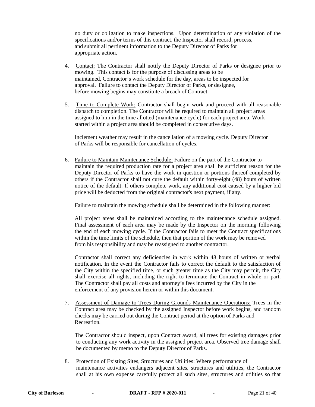no duty or obligation to make inspections. Upon determination of any violation of the specifications and/or terms of this contract, the Inspector shall record, process, and submit all pertinent information to the Deputy Director of Parks for appropriate action.

- 4. Contact: The Contractor shall notify the Deputy Director of Parks or designee prior to mowing. This contact is for the purpose of discussing areas to be maintained, Contractor's work schedule for the day, areas to be inspected for approval. Failure to contact the Deputy Director of Parks, or designee, before mowing begins may constitute a breach of Contract.
- 5. Time to Complete Work: Contractor shall begin work and proceed with all reasonable dispatch to completion. The Contractor will be required to maintain all project areas assigned to him in the time allotted (maintenance cycle) for each project area. Work started within a project area should be completed in consecutive days.

 Inclement weather may result in the cancellation of a mowing cycle. Deputy Director of Parks will be responsible for cancellation of cycles.

6. Failure to Maintain Maintenance Schedule: Failure on the part of the Contractor to maintain the required production rate for a project area shall be sufficient reason for the Deputy Director of Parks to have the work in question or portions thereof completed by others if the Contractor shall not cure the default within forty-eight (48) hours of written notice of the default. If others complete work, any additional cost caused by a higher bid price will be deducted from the original contractor's next payment, if any.

Failure to maintain the mowing schedule shall be determined in the following manner:

 All project areas shall be maintained according to the maintenance schedule assigned. Final assessment of each area may be made by the Inspector on the morning following the end of each mowing cycle. If the Contractor fails to meet the Contract specifications within the time limits of the schedule, then that portion of the work may be removed from his responsibility and may be reassigned to another contractor.

 Contractor shall correct any deficiencies in work within 48 hours of written or verbal notification. In the event the Contractor fails to correct the default to the satisfaction of the City within the specified time, or such greater time as the City may permit, the City shall exercise all rights, including the right to terminate the Contract in whole or part. The Contractor shall pay all costs and attorney's fees incurred by the City in the enforcement of any provision herein or within this document.

7. Assessment of Damage to Trees During Grounds Maintenance Operations: Trees in the Contract area may be checked by the assigned Inspector before work begins, and random checks may be carried out during the Contract period at the option of Parks and Recreation.

 The Contractor should inspect, upon Contract award, all trees for existing damages prior to conducting any work activity in the assigned project area. Observed tree damage shall be documented by memo to the Deputy Director of Parks.

8. Protection of Existing Sites, Structures and Utilities: Where performance of maintenance activities endangers adjacent sites, structures and utilities, the Contractor shall at his own expense carefully protect all such sites, structures and utilities so that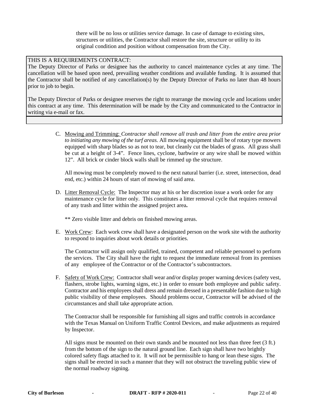there will be no loss or utilities service damage. In case of damage to existing sites, structures or utilities, the Contractor shall restore the site, structure or utility to its original condition and position without compensation from the City.

#### THIS IS A REQUIREMENTS CONTRACT:

The Deputy Director of Parks or designee has the authority to cancel maintenance cycles at any time. The cancellation will be based upon need, prevailing weather conditions and available funding. It is assumed that the Contractor shall be notified of any cancellation(s) by the Deputy Director of Parks no later than 48 hours prior to job to begin.

The Deputy Director of Parks or designee reserves the right to rearrange the mowing cycle and locations under this contract at any time. This determination will be made by the City and communicated to the Contractor in writing via e-mail or fax.

> C. Mowing and Trimming: *Contractor shall remove all trash and litter from the entire area prior to initiating any mowing of the turf areas.* All mowing equipment shall be of rotary type mowers equipped with sharp blades so as not to tear, but cleanly cut the blades of grass. All grass shall be cut at a height of 3-4". Fence lines, cyclone, barbwire or any wire shall be mowed within 12". All brick or cinder block walls shall be rimmed up the structure.

All mowing must be completely mowed to the next natural barrier (i.e. street, intersection, dead end, etc.) within 24 hours of start of mowing of said area.

D. Litter Removal Cycle: The Inspector may at his or her discretion issue a work order for any maintenance cycle for litter only. This constitutes a litter removal cycle that requires removal of any trash and litter within the assigned project area**.** 

\*\* Zero visible litter and debris on finished mowing areas.

E. Work Crew: Each work crew shall have a designated person on the work site with the authority to respond to inquiries about work details or priorities.

The Contractor will assign only qualified, trained, competent and reliable personnel to perform the services. The City shall have the right to request the immediate removal from its premises of any employee of the Contractor or of the Contractor's subcontractors.

F. Safety of Work Crew: Contractor shall wear and/or display proper warning devices (safety vest, flashers, strobe lights, warning signs, etc.) in order to ensure both employee and public safety. Contractor and his employees shall dress and remain dressed in a presentable fashion due to high public visibility of these employees. Should problems occur, Contractor will be advised of the circumstances and shall take appropriate action.

The Contractor shall be responsible for furnishing all signs and traffic controls in accordance with the Texas Manual on Uniform Traffic Control Devices, and make adjustments as required by Inspector.

All signs must be mounted on their own stands and be mounted not less than three feet (3 ft.) from the bottom of the sign to the natural ground line. Each sign shall have two brightly colored safety flags attached to it. It will not be permissible to hang or lean these signs. The signs shall be erected in such a manner that they will not obstruct the traveling public view of the normal roadway signing.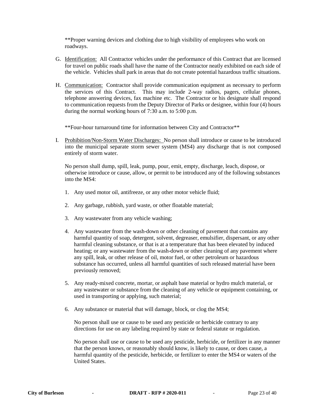\*\*Proper warning devices and clothing due to high visibility of employees who work on roadways.

- G. Identification: All Contractor vehicles under the performance of this Contract that are licensed for travel on public roads shall have the name of the Contractor neatly exhibited on each side of the vehicle. Vehicles shall park in areas that do not create potential hazardous traffic situations.
- H. Communication: Contractor shall provide communication equipment as necessary to perform the services of this Contract. This may include 2-way radios, pagers, cellular phones, telephone answering devices, fax machine etc. The Contractor or his designate shall respond to communication requests from the Deputy Director of Parks or designee, within four (4) hours during the normal working hours of 7:30 a.m. to 5:00 p.m.

\*\*Four-hour turnaround time for information between City and Contractor\*\*

I. Prohibition/Non-Storm Water Discharges: No person shall introduce or cause to be introduced into the municipal separate storm sewer system (MS4) any discharge that is not composed entirely of storm water.

No person shall dump, spill, leak, pump, pour, emit, empty, discharge, leach, dispose, or otherwise introduce or cause, allow, or permit to be introduced any of the following substances into the MS4:

- 1. Any used motor oil, antifreeze, or any other motor vehicle fluid;
- 2. Any garbage, rubbish, yard waste, or other floatable material;
- 3. Any wastewater from any vehicle washing;
- 4. Any wastewater from the wash-down or other cleaning of pavement that contains any harmful quantity of soap, detergent, solvent, degreaser, emulsifier, dispersant, or any other harmful cleaning substance, or that is at a temperature that has been elevated by induced heating; or any wastewater from the wash-down or other cleaning of any pavement where any spill, leak, or other release of oil, motor fuel, or other petroleum or hazardous substance has occurred, unless all harmful quantities of such released material have been previously removed;
- 5. Any ready-mixed concrete, mortar, or asphalt base material or hydro mulch material, or any wastewater or substance from the cleaning of any vehicle or equipment containing, or used in transporting or applying, such material;
- 6. Any substance or material that will damage, block, or clog the MS4;

No person shall use or cause to be used any pesticide or herbicide contrary to any directions for use on any labeling required by state or federal statute or regulation.

No person shall use or cause to be used any pesticide, herbicide, or fertilizer in any manner that the person knows, or reasonably should know, is likely to cause, or does cause, a harmful quantity of the pesticide, herbicide, or fertilizer to enter the MS4 or waters of the United States.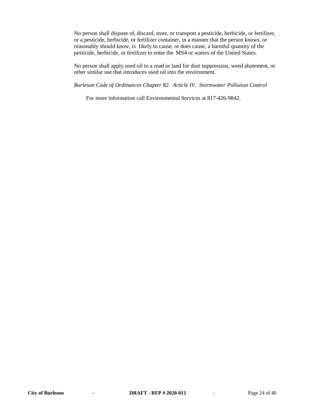No person shall dispose of, discard, store, or transport a pesticide, herbicide, or fertilizer, or a pesticide, herbicide, or fertilizer container, in a manner that the person knows, or reasonably should know, is likely to cause, or does cause, a harmful quantity of the pesticide, herbicide, or fertilizer to enter the MS4 or waters of the United States.

No person shall apply used oil to a road or land for dust suppression, weed abatement, or other similar use that introduces used oil into the environment.

*Burleson Code of Ordinances Chapter 82. Article IV. Stormwater Pollution Control*

For more information call Environmental Services at 817-426-9842.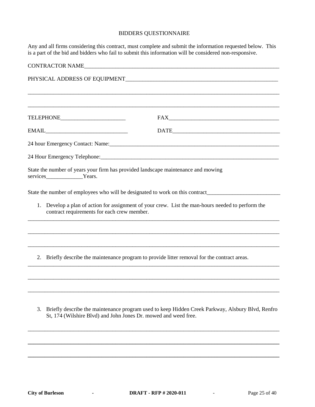#### BIDDERS QUESTIONNAIRE

Any and all firms considering this contract, must complete and submit the information requested below. This is a part of the bid and bidders who fail to submit this information will be considered non-responsive.

| <b>CONTRACTOR NAME</b><br><u> 1980 - Jan James James, martin amerikan basar dan berasal dari berasal dalam basa dalam basa dalam basa dala</u>                                                                                                                                                              |                                                                                                                                                                                                                                                                                                                                                                                                                                                        |  |  |  |
|-------------------------------------------------------------------------------------------------------------------------------------------------------------------------------------------------------------------------------------------------------------------------------------------------------------|--------------------------------------------------------------------------------------------------------------------------------------------------------------------------------------------------------------------------------------------------------------------------------------------------------------------------------------------------------------------------------------------------------------------------------------------------------|--|--|--|
|                                                                                                                                                                                                                                                                                                             |                                                                                                                                                                                                                                                                                                                                                                                                                                                        |  |  |  |
|                                                                                                                                                                                                                                                                                                             |                                                                                                                                                                                                                                                                                                                                                                                                                                                        |  |  |  |
| TELEPHONE_________________________                                                                                                                                                                                                                                                                          | ${\tt FAX} \begin{tabular}{ c c c } \hline \multicolumn{3}{ c }{\textbf{FAX}} & \multicolumn{3}{ c }{\textbf{FAX}} \\ \hline \multicolumn{3}{ c }{\textbf{FAX}} & \multicolumn{3}{ c }{\textbf{FAX}} \\ \hline \multicolumn{3}{ c }{\textbf{FAX}} & \multicolumn{3}{ c }{\textbf{FAX}} \\ \hline \multicolumn{3}{ c }{\textbf{FAX}} & \multicolumn{3}{ c }{\textbf{FAX}} \\ \hline \multicolumn{3}{ c }{\textbf{FAX}} & \multicolumn{3}{ c }{\textbf{$ |  |  |  |
|                                                                                                                                                                                                                                                                                                             |                                                                                                                                                                                                                                                                                                                                                                                                                                                        |  |  |  |
|                                                                                                                                                                                                                                                                                                             |                                                                                                                                                                                                                                                                                                                                                                                                                                                        |  |  |  |
|                                                                                                                                                                                                                                                                                                             |                                                                                                                                                                                                                                                                                                                                                                                                                                                        |  |  |  |
| services Years.                                                                                                                                                                                                                                                                                             | State the number of years your firm has provided landscape maintenance and mowing                                                                                                                                                                                                                                                                                                                                                                      |  |  |  |
|                                                                                                                                                                                                                                                                                                             | State the number of employees who will be designated to work on this contract________                                                                                                                                                                                                                                                                                                                                                                  |  |  |  |
| Develop a plan of action for assignment of your crew. List the man-hours needed to perform the<br>1.<br>contract requirements for each crew member.                                                                                                                                                         |                                                                                                                                                                                                                                                                                                                                                                                                                                                        |  |  |  |
|                                                                                                                                                                                                                                                                                                             |                                                                                                                                                                                                                                                                                                                                                                                                                                                        |  |  |  |
| 2.                                                                                                                                                                                                                                                                                                          | Briefly describe the maintenance program to provide litter removal for the contract areas.                                                                                                                                                                                                                                                                                                                                                             |  |  |  |
|                                                                                                                                                                                                                                                                                                             |                                                                                                                                                                                                                                                                                                                                                                                                                                                        |  |  |  |
| $\mathbf{r}$ , $\mathbf{r}$ , $\mathbf{r}$ , $\mathbf{r}$ , $\mathbf{r}$ , $\mathbf{r}$ , $\mathbf{r}$ , $\mathbf{r}$ , $\mathbf{r}$ , $\mathbf{r}$ , $\mathbf{r}$ , $\mathbf{r}$ , $\mathbf{r}$ , $\mathbf{r}$ , $\mathbf{r}$ , $\mathbf{r}$ , $\mathbf{r}$ , $\mathbf{r}$ , $\mathbf{r}$ , $\mathbf{r}$ , | $\mathbf{v}$                                                                                                                                                                                                                                                                                                                                                                                                                                           |  |  |  |

3. Briefly describe the maintenance program used to keep Hidden Creek Parkway, Alsbury Blvd, Renfro St, 174 (Wilshire Blvd) and John Jones Dr. mowed and weed free.

\_\_\_\_\_\_\_\_\_\_\_\_\_\_\_\_\_\_\_\_\_\_\_\_\_\_\_\_\_\_\_\_\_\_\_\_\_\_\_\_\_\_\_\_\_\_\_\_\_\_\_\_\_\_\_\_\_\_\_\_\_\_\_\_\_\_\_\_\_\_\_\_\_\_\_\_\_\_\_\_\_\_\_\_\_\_\_\_\_

**\_\_\_\_\_\_\_\_\_\_\_\_\_\_\_\_\_\_\_\_\_\_\_\_\_\_\_\_\_\_\_\_\_\_\_\_\_\_\_\_\_\_\_\_\_\_\_\_\_\_\_\_\_\_\_\_\_\_\_\_\_\_\_\_\_\_\_\_\_\_\_\_\_\_\_\_\_\_\_\_\_\_\_\_\_\_\_\_\_**

**\_\_\_\_\_\_\_\_\_\_\_\_\_\_\_\_\_\_\_\_\_\_\_\_\_\_\_\_\_\_\_\_\_\_\_\_\_\_\_\_\_\_\_\_\_\_\_\_\_\_\_\_\_\_\_\_\_\_\_\_\_\_\_\_\_\_\_\_\_\_\_\_\_\_\_\_\_\_\_\_\_\_\_\_\_\_\_\_\_**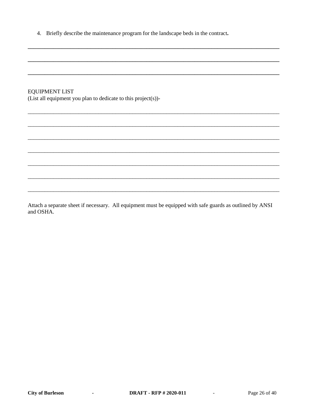4. Briefly describe the maintenance program for the landscape beds in the contract.

### **EQUIPMENT LIST**

(List all equipment you plan to dedicate to this project(s))-

Attach a separate sheet if necessary. All equipment must be equipped with safe guards as outlined by ANSI and OSHA.

**Contract Administration** 

 $\mathcal{L}^{\text{max}}_{\text{max}}$  , where  $\mathcal{L}^{\text{max}}_{\text{max}}$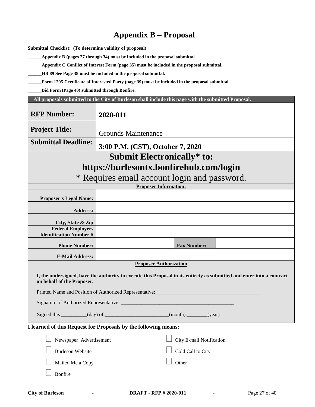# **Appendix B – Proposal**

**Submittal Checklist: (To determine validity of proposal)**

**\_\_\_\_\_\_Appendix B (pages 27 through 34) must be included in the proposal submittal**

**\_\_\_\_\_\_Appendix C Conflict of Interest Form (page 35) must be included in the proposal submittal.**

**\_\_\_\_\_\_HB 89 See Page 38 must be included in the proposal submittal.**

**\_\_\_\_\_\_Form 1295 Certificate of Interested Party (page 39) must be included in the proposal submittal.**

**\_\_\_\_\_\_Bid Form (Page 40) submitted through Bonfire.** 

| All proposals submitted to the City of Burleson shall include this page with the submitted Proposal. |                                                                                                                        |  |  |  |  |
|------------------------------------------------------------------------------------------------------|------------------------------------------------------------------------------------------------------------------------|--|--|--|--|
| <b>RFP Number:</b>                                                                                   | 2020-011                                                                                                               |  |  |  |  |
| <b>Project Title:</b>                                                                                | <b>Grounds Maintenance</b>                                                                                             |  |  |  |  |
| <b>Submittal Deadline:</b>                                                                           | 3:00 P.M. (CST), October 7, 2020                                                                                       |  |  |  |  |
|                                                                                                      | <b>Submit Electronically* to:</b>                                                                                      |  |  |  |  |
|                                                                                                      | https://burlesontx.bonfirehub.com/login                                                                                |  |  |  |  |
|                                                                                                      | * Requires email account login and password.                                                                           |  |  |  |  |
|                                                                                                      | <b>Proposer Information:</b>                                                                                           |  |  |  |  |
| <b>Proposer's Legal Name:</b>                                                                        |                                                                                                                        |  |  |  |  |
| <b>Address:</b>                                                                                      |                                                                                                                        |  |  |  |  |
| City, State & Zip                                                                                    |                                                                                                                        |  |  |  |  |
| <b>Federal Employers</b><br><b>Identification Number #</b>                                           |                                                                                                                        |  |  |  |  |
| <b>Phone Number:</b>                                                                                 | <b>Fax Number:</b>                                                                                                     |  |  |  |  |
| <b>E-Mail Address:</b>                                                                               |                                                                                                                        |  |  |  |  |
|                                                                                                      | <b>Proposer Authorization</b>                                                                                          |  |  |  |  |
| on behalf of the Proposer.                                                                           | I, the undersigned, have the authority to execute this Proposal in its entirety as submitted and enter into a contract |  |  |  |  |
|                                                                                                      | Printed Name and Position of Authorized Representative: _________________________                                      |  |  |  |  |
|                                                                                                      |                                                                                                                        |  |  |  |  |
| Signed this _________(day) of _____________________(month), ______(year)                             |                                                                                                                        |  |  |  |  |
| I learned of this Request for Proposals by the following means:                                      |                                                                                                                        |  |  |  |  |
| City E-mail Notification<br>Newspaper Advertisement                                                  |                                                                                                                        |  |  |  |  |
| <b>Burleson Website</b><br>Cold Call to City                                                         |                                                                                                                        |  |  |  |  |
| Other<br>Mailed Me a Copy                                                                            |                                                                                                                        |  |  |  |  |
| Bonfire                                                                                              |                                                                                                                        |  |  |  |  |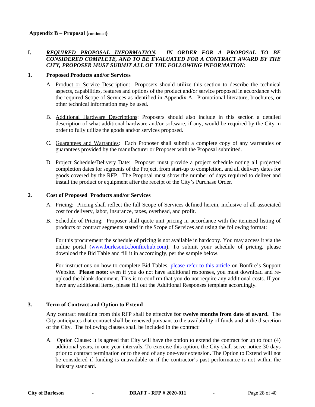#### **I.** *REQUIRED PROPOSAL INFORMATION. IN ORDER FOR A PROPOSAL TO BE CONSIDERED COMPLETE, AND TO BE EVALUATED FOR A CONTRACT AWARD BY THE CITY, PROPOSER MUST SUBMIT ALL OF THE FOLLOWING INFORMATION*:

#### **1. Proposed Products and/or Services**

- A. Product or Service Description: Proposers should utilize this section to describe the technical aspects, capabilities, features and options of the product and/or service proposed in accordance with the required Scope of Services as identified in Appendix A. Promotional literature, brochures, or other technical information may be used.
- B. Additional Hardware Descriptions: Proposers should also include in this section a detailed description of what additional hardware and/or software, if any, would be required by the City in order to fully utilize the goods and/or services proposed.
- C. Guarantees and Warranties: Each Proposer shall submit a complete copy of any warranties or guarantees provided by the manufacturer or Proposer with the Proposal submitted.
- D. Project Schedule/Delivery Date: Proposer must provide a project schedule noting all projected completion dates for segments of the Project, from start-up to completion, and all delivery dates for goods covered by the RFP. The Proposal must show the number of days required to deliver and install the product or equipment after the receipt of the City's Purchase Order.

#### **2. Cost of Proposed Products and/or Services**

- A. Pricing: Pricing shall reflect the full Scope of Services defined herein, inclusive of all associated cost for delivery, labor, insurance, taxes, overhead, and profit.
- B. Schedule of Pricing: Proposer shall quote unit pricing in accordance with the itemized listing of products or contract segments stated in the Scope of Services and using the following format:

For this procurement the schedule of pricing is not available in hardcopy. You may access it via the online portal [\(www.burlesontx.bonfirehub.com\)](http://www.burlesontx.bonfirehub.com/). To submit your schedule of pricing, please download the Bid Table and fill it in accordingly, per the sample below.

For instructions on how to complete Bid Tables, [please refer to this article](https://support.gobonfire.com/hc/en-us/articles/216733798-How-do-I-fill-out-a-BidTable-template-Vendor-POV-) on Bonfire's Support Website. **Please note:** even if you do not have additional responses, you must download and reupload the blank document. This is to confirm that you do not require any additional costs. If you have any additional items, please fill out the Additional Responses template accordingly.

#### **3. Term of Contract and Option to Extend**

Any contract resulting from this RFP shall be effective **for twelve months from date of award.** The City anticipates that contract shall be renewed pursuant to the availability of funds and at the discretion of the City. The following clauses shall be included in the contract:

A.Option Clause: It is agreed that City will have the option to extend the contract for up to four (4) additional years, in one-year intervals. To exercise this option, the City shall serve notice 30 days prior to contract termination or to the end of any one-year extension. The Option to Extend will not be considered if funding is unavailable or if the contractor's past performance is not within the industry standard.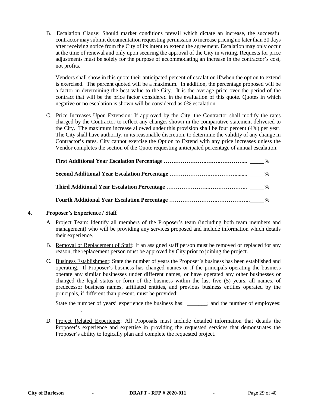B.Escalation Clause: Should market conditions prevail which dictate an increase, the successful contractor may submit documentation requesting permission to increase pricing no later than 30 days after receiving notice from the City of its intent to extend the agreement. Escalation may only occur at the time of renewal and only upon securing the approval of the City in writing. Requests for price adjustments must be solely for the purpose of accommodating an increase in the contractor's cost, not profits.

Vendors shall show in this quote their anticipated percent of escalation if/when the option to extend is exercised. The percent quoted will be a maximum. In addition, the percentage proposed will be a factor in determining the best value to the City. It is the average price over the period of the contract that will be the price factor considered in the evaluation of this quote. Quotes in which negative or no escalation is shown will be considered as 0% escalation.

C.Price Increases Upon Extension: If approved by the City, the Contractor shall modify the rates charged by the Contractor to reflect any changes shown in the comparative statement delivered to the City. The maximum increase allowed under this provision shall be four percent (4%) per year. The City shall have authority, in its reasonable discretion, to determine the validity of any change in Contractor's rates. City cannot exercise the Option to Extend with any price increases unless the Vendor completes the section of the Quote requesting anticipated percentage of annual escalation.

#### **4. Proposer's Experience / Staff**

\_\_\_\_\_\_\_\_\_.

- A. Project Team: Identify all members of the Proposer's team (including both team members and management) who will be providing any services proposed and include information which details their experience.
- B. Removal or Replacement of Staff: If an assigned staff person must be removed or replaced for any reason, the replacement person must be approved by City prior to joining the project.
- C. Business Establishment: State the number of years the Proposer's business has been established and operating. If Proposer's business has changed names or if the principals operating the business operate any similar businesses under different names, or have operated any other businesses or changed the legal status or form of the business within the last five (5) years, all names, of predecessor business names, affiliated entities, and previous business entities operated by the principals, if different than present, must be provided;

State the number of years' experience the business has: \_\_\_\_\_\_; and the number of employees:

D. Project Related Experience: All Proposals must include detailed information that details the Proposer's experience and expertise in providing the requested services that demonstrates the Proposer's ability to logically plan and complete the requested project.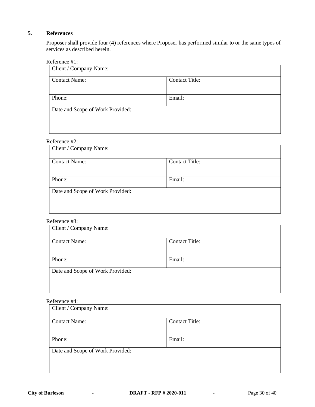#### **5. References**

Proposer shall provide four (4) references where Proposer has performed similar to or the same types of services as described herein.

#### Reference #1:

| Client / Company Name:           |                       |  |  |
|----------------------------------|-----------------------|--|--|
| <b>Contact Name:</b>             | <b>Contact Title:</b> |  |  |
|                                  |                       |  |  |
| Phone:                           | Email:                |  |  |
| Date and Scope of Work Provided: |                       |  |  |
|                                  |                       |  |  |
|                                  |                       |  |  |

### Reference #2:

| Client / Company Name:           |                       |  |  |
|----------------------------------|-----------------------|--|--|
| <b>Contact Name:</b>             | <b>Contact Title:</b> |  |  |
|                                  |                       |  |  |
| Phone:                           | Email:                |  |  |
| Date and Scope of Work Provided: |                       |  |  |
|                                  |                       |  |  |
|                                  |                       |  |  |

#### Reference #3:

| Client / Company Name:           |                       |  |
|----------------------------------|-----------------------|--|
| <b>Contact Name:</b>             | <b>Contact Title:</b> |  |
| Phone:                           | Email:                |  |
| Date and Scope of Work Provided: |                       |  |

#### Reference #4:

| Client / Company Name:           |                       |  |
|----------------------------------|-----------------------|--|
| <b>Contact Name:</b>             | <b>Contact Title:</b> |  |
|                                  |                       |  |
| Phone:                           | Email:                |  |
| Date and Scope of Work Provided: |                       |  |
|                                  |                       |  |
|                                  |                       |  |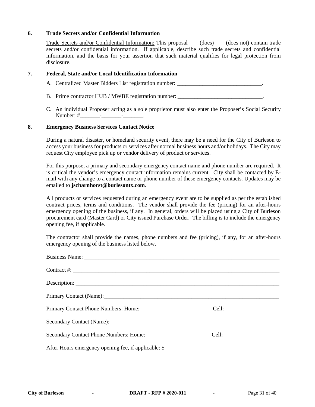#### **6. Trade Secrets and/or Confidential Information**

Trade Secrets and/or Confidential Information: This proposal (does) (does not) contain trade secrets and/or confidential information. If applicable, describe such trade secrets and confidential information, and the basis for your assertion that such material qualifies for legal protection from disclosure.

#### **7. Federal, State and/or Local Identification Information**

A. Centralized Master Bidders List registration number:

- B. Prime contractor HUB / MWBE registration number: \_\_\_\_\_\_\_\_\_\_\_\_\_\_\_\_\_\_\_\_\_\_\_\_\_\_\_\_
- C. An individual Proposer acting as a sole proprietor must also enter the Proposer's Social Security Number: #\_\_\_\_\_\_\_\_\_\_\_\_\_\_\_\_\_\_\_\_\_\_\_\_\_\_\_\_\_\_\_\_.

#### **8. Emergency Business Services Contact Notice**

During a natural disaster, or homeland security event, there may be a need for the City of Burleson to access your business for products or services after normal business hours and/or holidays. The City may request City employee pick up or vendor delivery of product or services.

For this purpose, a primary and secondary emergency contact name and phone number are required. It is critical the vendor's emergency contact information remains current. City shall be contacted by Email with any change to a contact name or phone number of these emergency contacts. Updates may be emailed to **[jscharnhorst@burlesontx.com](mailto:jscharnhorst@burlesontx.com)**.

All products or services requested during an emergency event are to be supplied as per the established contract prices, terms and conditions. The vendor shall provide the fee (pricing) for an after-hours emergency opening of the business, if any. In general, orders will be placed using a City of Burleson procurement card (Master Card) or City issued Purchase Order. The billing is to include the emergency opening fee, if applicable.

The contractor shall provide the names, phone numbers and fee (pricing), if any, for an after-hours emergency opening of the business listed below.

| Contract #: $\qquad \qquad$                                                                                    |  |
|----------------------------------------------------------------------------------------------------------------|--|
|                                                                                                                |  |
| Primary Contact (Name): 1988                                                                                   |  |
|                                                                                                                |  |
| Secondary Contact (Name): 2008 and 2008 and 2008 and 2008 and 2008 and 2008 and 2008 and 2008 and 2008 and 200 |  |
|                                                                                                                |  |
|                                                                                                                |  |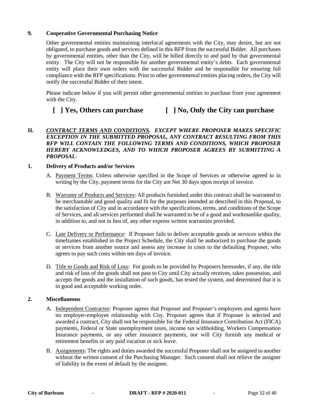#### **9. Cooperative Governmental Purchasing Notice**

Other governmental entities maintaining interlocal agreements with the City, may desire, but are not obligated, to purchase goods and services defined in this RFP from the successful Bidder. All purchases by governmental entities, other than the City, will be billed directly to and paid by that governmental entity. The City will not be responsible for another governmental entity's debts. Each governmental entity will place their own orders with the successful Bidder and be responsible for ensuring full compliance with the RFP specifications. Prior to other governmental entities placing orders, the City will notify the successful Bidder of their intent.

Please indicate below if you will permit other governmental entities to purchase from your agreement with the City.

# **[ ] Yes, Others can purchase [ ] No, Only the City can purchase**

#### **II.** *CONTRACT TERMS AND CONDITIONS. EXCEPT WHERE PROPOSER MAKES SPECIFIC EXCEPTION IN THE SUBMITTED PROPOSAL, ANY CONTRACT RESULTING FROM THIS RFP WILL CONTAIN THE FOLLOWING TERMS AND CONDITIONS, WHICH PROPOSER HEREBY ACKNOWLEDGES, AND TO WHICH PROPOSER AGREES BY SUBMITTING A PROPOSAL*:

#### **1. Delivery of Products and/or Services**

- A. Payment Terms: Unless otherwise specified in the Scope of Services or otherwise agreed to in writing by the City, payment terms for the City are Net 30 days upon receipt of invoice.
- B. Warranty of Products and Services: All products furnished under this contract shall be warranted to be merchantable and good quality and fit for the purposes intended as described in this Proposal, to the satisfaction of City and in accordance with the specifications, terms, and conditions of the Scope of Services, and all services performed shall be warranted to be of a good and workmanlike quality, in addition to, and not in lieu of, any other express written warranties provided.
- C. Late Delivery or Performance: If Proposer fails to deliver acceptable goods or services within the timeframes established in the Project Schedule, the City shall be authorized to purchase the goods or services from another source and assess any increase in costs to the defaulting Proposer, who agrees to pay such costs within ten days of invoice.
- D. Title to Goods and Risk of Loss: For goods to be provided by Proposers hereunder, if any, the title and risk of loss of the goods shall not pass to City until City actually receives, takes possession, and accepts the goods and the installation of such goods, has tested the system, and determined that it is in good and acceptable working order.

#### **2. Miscellaneous**

- A. Independent Contractor: Proposer agrees that Proposer and Proposer's employees and agents have no employer-employee relationship with City. Proposer agrees that if Proposer is selected and awarded a contract, City shall not be responsible for the Federal Insurance Contribution Act (FICA) payments, Federal or State unemployment taxes, income tax withholding, Workers Compensation Insurance payments, or any other insurance payments, nor will City furnish any medical or retirement benefits or any paid vacation or sick leave.
- B. Assignments: The rights and duties awarded the successful Proposer shall not be assigned to another without the written consent of the Purchasing Manager. Such consent shall not relieve the assigner of liability in the event of default by the assignee.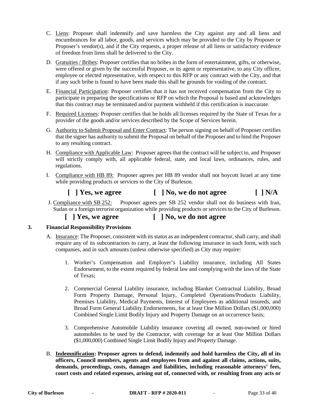- C. Liens: Proposer shall indemnify and save harmless the City against any and all liens and encumbrances for all labor, goods, and services which may be provided to the City by Proposer or Proposer's vendor(s), and if the City requests, a proper release of all liens or satisfactory evidence of freedom from liens shall be delivered to the City.
- D. Gratuities / Bribes: Proposer certifies that no bribes in the form of entertainment, gifts, or otherwise, were offered or given by the successful Proposer, or its agent or representative, to any City officer, employee or elected representative, with respect to this RFP or any contract with the City, and that if any such bribe is found to have been made this shall be grounds for voiding of the contract.
- E. Financial Participation: Proposer certifies that it has not received compensation from the City to participate in preparing the specifications or RFP on which the Proposal is based and acknowledges that this contract may be terminated and/or payment withheld if this certification is inaccurate.
- F. Required Licenses: Proposer certifies that he holds all licenses required by the State of Texas for a provider of the goods and/or services described by the Scope of Services herein.
- G. Authority to Submit Proposal and Enter Contract: The person signing on behalf of Proposer certifies that the signer has authority to submit the Proposal on behalf of the Proposer and to bind the Proposer to any resulting contract.
- H. Compliance with Applicable Law: Proposer agrees that the contract will be subject to, and Proposer will strictly comply with, all applicable federal, state, and local laws, ordinances, rules, and regulations.
- I. Compliance with HB 89: Proposer agrees per HB 89 vendor shall not boycott Israel at any time while providing products or services to the City of Burleson.

# **[ ] Yes, we agree [ ] No, we do not agree [ ] N/A**

- J. Compliance with SB 252: Proposer agrees per SB 252 vendor shall not do business with Iran, Sudan or a foreign terrorist organization while providing products or services to the City of Burleson.
	- **[ ] Yes, we agree [ ] No, we do not agree**

### **3. Financial Responsibility Provisions**

- A. Insurance: The Proposer, consistent with its status as an independent contractor, shall carry, and shall require any of its subcontractors to carry, at least the following insurance in such form, with such companies, and in such amounts (unless otherwise specified) as City may require:
	- 1. Worker's Compensation and Employer's Liability insurance, including All States Endorsement, to the extent required by federal law and complying with the laws of the State of Texas;
	- 2. Commercial General Liability insurance, including Blanket Contractual Liability, Broad Form Property Damage, Personal Injury, Completed Operations/Products Liability, Premises Liability, Medical Payments, Interest of Employees as additional insureds, and Broad Form General Liability Endorsements, for at least One Million Dollars (\$1,000,000) Combined Single Limit Bodily Injury and Property Damage on an occurrence basis;
	- 3. Comprehensive Automobile Liability insurance covering all owned, non-owned or hired automobiles to be used by the Contractor, with coverage for at least One Million Dollars (\$1,000,000) Combined Single Limit Bodily Injury and Property Damage.
- B. **Indemnification: Proposer agrees to defend, indemnify and hold harmless the City, all of its officers, Council members, agents and employees from and against all claims, actions, suits, demands, proceedings, costs, damages and liabilities, including reasonable attorneys' fees, court costs and related expenses, arising out of, connected with, or resulting from any acts or**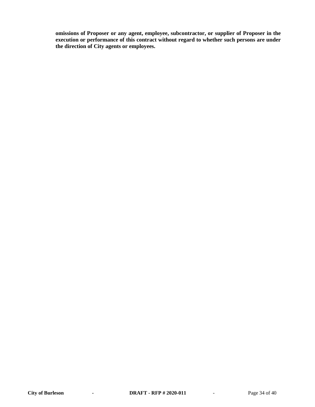**omissions of Proposer or any agent, employee, subcontractor, or supplier of Proposer in the execution or performance of this contract without regard to whether such persons are under the direction of City agents or employees.**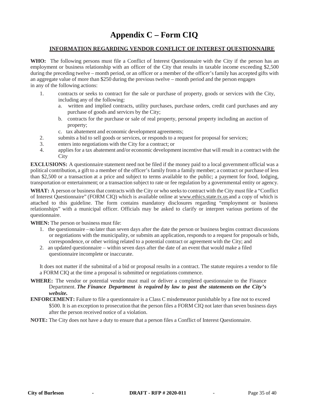# **Appendix C – Form CIQ**

#### **INFORMATION REGARDING VENDOR CONFLICT OF INTEREST QUESTIONNAIRE**

**WHO:** The following persons must file a Conflict of Interest Questionnaire with the City if the person has an employment or business relationship with an officer of the City that results in taxable income exceeding \$2,500 during the preceding twelve – month period, or an officer or a member of the officer's family has accepted gifts with an aggregate value of more than \$250 during the previous twelve – month period and the person engages in any of the following actions:

- 1. contracts or seeks to contract for the sale or purchase of property, goods or services with the City, including any of the following:
	- a. written and implied contracts, utility purchases, purchase orders, credit card purchases and any purchase of goods and services by the City;
	- b. contracts for the purchase or sale of real property, personal property including an auction of property;
	- c. tax abatement and economic development agreements;
- 2. submits a bid to sell goods or services, or responds to a request for proposal for services;
- 3. enters into negotiations with the City for a contract; or
- 4. appliesfor a tax abatement and/or economic development incentive that will result in a contract with the **City**

**EXCLUSIONS:** A questionnaire statement need not be filed if the money paid to a local government official was a political contribution, a gift to a member of the officer's family from a family member; a contract or purchase of less than \$2,500 or a transaction at a price and subject to terms available to the public; a payment for food, lodging, transportation or entertainment; or a transaction subject to rate or fee regulation by a governmental entity or agency.

WHAT: A person or business that contracts with the City or who seeks to contract with the City must file a "Conflict" of Interest Questionnaire" (FORM CIQ) which is available online at [www.ethics.state.tx.us](http://www.ethics.state.tx.us/) and a copy of which is attached to this guideline. The form contains mandatory disclosures regarding "employment or business relationships" with a municipal officer. Officials may be asked to clarify or interpret various portions of the questionnaire.

**WHEN:** The person or business must file:

- 1. the questionnaire no later than seven days after the date the person or business begins contract discussions or negotiations with the municipality, or submits an application, responds to a request for proposals or bids, correspondence, or other writing related to a potential contract or agreement with the City; and
- 2. an updated questionnaire within seven days after the date of an event that would make a filed questionnaire incomplete or inaccurate.

It does not matter if the submittal of a bid or proposal results in a contract. The statute requires a vendor to file a FORM CIQ at the time a proposal is submitted or negotiations commence.

- **WHERE:** The vendor or potential vendor must mail or deliver a completed questionnaire to the Finance Department. *The Finance Department is required by law to post the statements on the City's website.*
- **ENFORCEMENT:** Failure to file a questionnaire is a Class C misdemeanor punishable by a fine not to exceed \$500. It is an exception to prosecution that the person files a FORM CIQ not later than seven business days after the person received notice of a violation.

**NOTE:** The City does not have a duty to ensure that a person files a Conflict of Interest Questionnaire.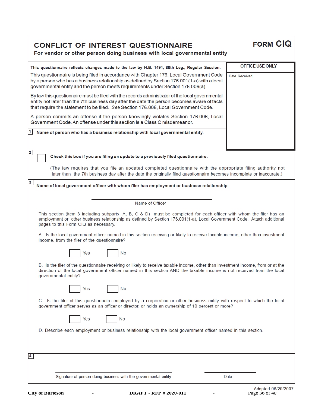# **CONFLICT OF INTEREST QUESTIONNAIRE**

For vendor or other person doing business with local governmental entity

| This questionnaire reflects changes made to the law by H.B. 1491, 80th Leg., Regular Session.                                                                                                                                                                                              | OFFICE USE ONLY |  |  |  |  |  |
|--------------------------------------------------------------------------------------------------------------------------------------------------------------------------------------------------------------------------------------------------------------------------------------------|-----------------|--|--|--|--|--|
| This questionnaire is being filed in accordance with Chapter 176, Local Government Code<br>Date Received<br>by a person who has a business relationship as defined by Section 176.001(1-a) with a local<br>governmental entity and the person meets requirements under Section 176.006(a). |                 |  |  |  |  |  |
| By law this questionnaire must be filed with the records administrator of the local governmental<br>entity not later than the 7th business day after the date the person becomes aware of facts<br>that require the statement to be filed. See Section 176.006, Local Government Code.     |                 |  |  |  |  |  |
| A person commits an offense if the person knowingly violates Section 176.006, Local<br>Government Code. An offense under this section is a Class C misdemeanor.                                                                                                                            |                 |  |  |  |  |  |
| Name of person who has a business relationship with local governmental entity.                                                                                                                                                                                                             |                 |  |  |  |  |  |
| $\overline{\mathbf{2}}$<br>Check this box if you are filing an update to a previously filed questionnaire.                                                                                                                                                                                 |                 |  |  |  |  |  |
| (The law requires that you file an updated completed questionnaire with the appropriate filing authority not<br>later than the 7th business day after the date the originally filed questionnaire becomes incomplete or inaccurate.)                                                       |                 |  |  |  |  |  |
| $\overline{\mathbf{3}}$<br>Name of local government officer with whom filer has employment or business relationship.                                                                                                                                                                       |                 |  |  |  |  |  |
|                                                                                                                                                                                                                                                                                            |                 |  |  |  |  |  |
| Name of Officer                                                                                                                                                                                                                                                                            |                 |  |  |  |  |  |
| This section (item 3 including subparts A, B, C & D) must be completed for each officer with whom the filer has an<br>employment or other business relationship as defined by Section 176.001(1-a), Local Government Code. Attach additional<br>pages to this Form CIQ as necessary.       |                 |  |  |  |  |  |
| A. Is the local government officer named in this section receiving or likely to receive taxable income, other than investment<br>income, from the filer of the questionnaire?                                                                                                              |                 |  |  |  |  |  |
| No<br>Yes                                                                                                                                                                                                                                                                                  |                 |  |  |  |  |  |
| B. Is the filer of the questionnaire receiving or likely to receive taxable income, other than investment income, from or at the<br>direction of the local government officer named in this section AND the taxable income is not received from the local<br>governmental entity?          |                 |  |  |  |  |  |
| Yes<br>No                                                                                                                                                                                                                                                                                  |                 |  |  |  |  |  |
| C. Is the filer of this questionnaire employed by a corporation or other business entity with respect to which the local<br>government officer serves as an officer or director, or holds an ownership of 10 percent or more?                                                              |                 |  |  |  |  |  |
| Yes<br>No                                                                                                                                                                                                                                                                                  |                 |  |  |  |  |  |
| D. Describe each employment or business relationship with the local government officer named in this section.                                                                                                                                                                              |                 |  |  |  |  |  |
| 4                                                                                                                                                                                                                                                                                          |                 |  |  |  |  |  |
|                                                                                                                                                                                                                                                                                            |                 |  |  |  |  |  |
| Signature of person doing business with the governmental entity                                                                                                                                                                                                                            | Date            |  |  |  |  |  |

**FORM CIQ**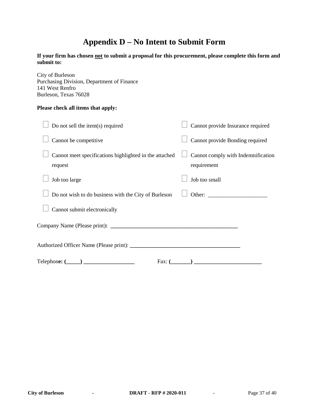# **Appendix D – No Intent to Submit Form**

**If your firm has chosen not to submit a proposal for this procurement, please complete this form and submit to:**

City of Burleson Purchasing Division, Department of Finance 141 West Renfro Burleson, Texas 76028

#### **Please check all items that apply:**

| Do not sell the item(s) required                                  | Cannot provide Insurance required                 |
|-------------------------------------------------------------------|---------------------------------------------------|
| Cannot be competitive                                             | Cannot provide Bonding required                   |
| Cannot meet specifications highlighted in the attached<br>request | Cannot comply with Indemnification<br>requirement |
| Job too large                                                     | Job too small                                     |
| Do not wish to do business with the City of Burleson              | Other:                                            |
| Cannot submit electronically                                      |                                                   |
|                                                                   |                                                   |
|                                                                   |                                                   |
| $\text{Telephone: } (\_\_\_\_\_\_\_\_\_\_\_\$<br>Fax: $($         | $\overline{\phantom{a}}$                          |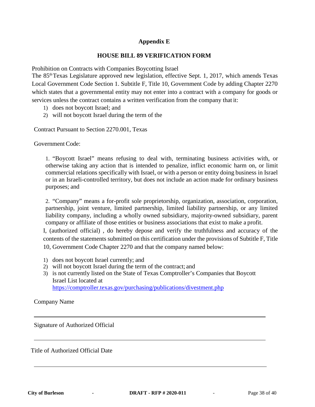# **Appendix E**

#### **HOUSE BILL 89 VERIFICATION FORM**

Prohibition on Contracts with Companies Boycotting Israel

The 85thTexas Legislature approved new legislation, effective Sept. 1, 2017, which amends Texas Local Government Code Section 1. Subtitle F, Title 10, Government Code by adding Chapter 2270 which states that a governmental entity may not enter into a contract with a company for goods or services unless the contract contains a written verification from the company that it:

- 1) does not boycott Israel; and
- 2) will not boycott Israel during the term of the

Contract Pursuant to Section 2270.001, Texas

Government Code:

1. "Boycott Israel" means refusing to deal with, terminating business activities with, or otherwise taking any action that is intended to penalize, inflict economic harm on, or limit commercial relations specifically with Israel, or with a person or entity doing business in Israel or in an Israeli-controlled territory, but does not include an action made for ordinary business purposes; and

2. "Company" means a for-profit sole proprietorship, organization, association, corporation, partnership, joint venture, limited partnership, limited liability partnership, or any limited liability company, including a wholly owned subsidiary, majority-owned subsidiary, parent company or affiliate of those entities or business associations that exist to make a profit.

I, (authorized official) , do hereby depose and verify the truthfulness and accuracy of the contents of the statements submitted on this certification under the provisions of Subtitle F, Title 10, Government Code Chapter 2270 and that the company named below:

- 1) does not boycott Israel currently; and
- 2) will not boycott Israel during the term of the contract; and
- 3) is not currently listed on the State of Texas Comptroller's Companies that Boycott Israel List located at https://comptroller.texas.gov/purchasing/publications/divestment.php

Company Name

Signature of Authorized Official

Title of Authorized Official Date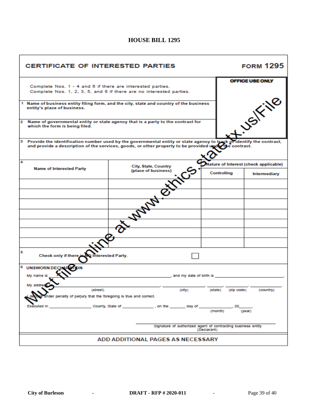# **HOUSE BILL 1295**

| <b>CERTIFICATE OF INTERESTED PARTIES</b>                                                                                                                                                                                         |                                                                                 |             |                                       | <b>FORM 1295</b> |  |  |
|----------------------------------------------------------------------------------------------------------------------------------------------------------------------------------------------------------------------------------|---------------------------------------------------------------------------------|-------------|---------------------------------------|------------------|--|--|
|                                                                                                                                                                                                                                  |                                                                                 |             |                                       | OFFICE USE ONLY  |  |  |
| Complete Nos. 1 - 4 and 6 if there are interested parties.                                                                                                                                                                       |                                                                                 |             |                                       |                  |  |  |
|                                                                                                                                                                                                                                  | Complete Nos. 1, 2, 3, 5, and 6 if there are no interested parties.             |             |                                       |                  |  |  |
|                                                                                                                                                                                                                                  |                                                                                 |             |                                       |                  |  |  |
|                                                                                                                                                                                                                                  |                                                                                 |             |                                       | <b>USIFING</b>   |  |  |
| 1 Name of business entity filing form, and the city, state and country of the business                                                                                                                                           |                                                                                 |             |                                       |                  |  |  |
| entity's place of business.                                                                                                                                                                                                      |                                                                                 |             |                                       |                  |  |  |
|                                                                                                                                                                                                                                  |                                                                                 |             |                                       |                  |  |  |
|                                                                                                                                                                                                                                  |                                                                                 |             |                                       |                  |  |  |
| 2<br>which the form is being filed.                                                                                                                                                                                              | Name of governmental entity or state agency that is a party to the contract for |             |                                       |                  |  |  |
|                                                                                                                                                                                                                                  |                                                                                 |             |                                       |                  |  |  |
|                                                                                                                                                                                                                                  |                                                                                 |             |                                       |                  |  |  |
|                                                                                                                                                                                                                                  |                                                                                 |             |                                       |                  |  |  |
| 3 Provide the identification number used by the governmental entity or state agency to track of identify the contract.<br>and provide a description of the services, goods, or other property to be provided upder the contract. |                                                                                 |             |                                       |                  |  |  |
|                                                                                                                                                                                                                                  |                                                                                 |             |                                       |                  |  |  |
|                                                                                                                                                                                                                                  |                                                                                 |             |                                       |                  |  |  |
|                                                                                                                                                                                                                                  |                                                                                 |             |                                       |                  |  |  |
| 4                                                                                                                                                                                                                                |                                                                                 |             | Nature of Interest (check applicable) |                  |  |  |
| <b>Name of Interested Party</b>                                                                                                                                                                                                  | City, State, Country                                                            |             |                                       |                  |  |  |
|                                                                                                                                                                                                                                  | (place of business)                                                             |             | Controlling                           | Intermediary     |  |  |
|                                                                                                                                                                                                                                  |                                                                                 |             |                                       |                  |  |  |
|                                                                                                                                                                                                                                  |                                                                                 |             |                                       |                  |  |  |
|                                                                                                                                                                                                                                  |                                                                                 |             |                                       |                  |  |  |
|                                                                                                                                                                                                                                  |                                                                                 |             |                                       |                  |  |  |
|                                                                                                                                                                                                                                  |                                                                                 |             |                                       |                  |  |  |
|                                                                                                                                                                                                                                  |                                                                                 |             |                                       |                  |  |  |
|                                                                                                                                                                                                                                  |                                                                                 |             |                                       |                  |  |  |
|                                                                                                                                                                                                                                  | <b>WANN CH</b>                                                                  |             |                                       |                  |  |  |
|                                                                                                                                                                                                                                  |                                                                                 |             |                                       |                  |  |  |
|                                                                                                                                                                                                                                  |                                                                                 |             |                                       |                  |  |  |
|                                                                                                                                                                                                                                  |                                                                                 |             |                                       |                  |  |  |
| 5                                                                                                                                                                                                                                |                                                                                 |             |                                       |                  |  |  |
| Check only if there is N                                                                                                                                                                                                         | <b>Interested Party.</b>                                                        |             |                                       |                  |  |  |
|                                                                                                                                                                                                                                  |                                                                                 |             |                                       |                  |  |  |
| 6<br><b>UNSWORN DEC</b>                                                                                                                                                                                                          |                                                                                 |             |                                       |                  |  |  |
|                                                                                                                                                                                                                                  |                                                                                 |             |                                       |                  |  |  |
| My name is                                                                                                                                                                                                                       | , and my date of birth is                                                       |             |                                       |                  |  |  |
|                                                                                                                                                                                                                                  |                                                                                 |             |                                       |                  |  |  |
|                                                                                                                                                                                                                                  |                                                                                 |             |                                       |                  |  |  |
| (street)                                                                                                                                                                                                                         | (city)                                                                          | (state)     | (zip code)                            | (country)        |  |  |
| ter penalty of perjury that the foregoing is true and correct.                                                                                                                                                                   |                                                                                 |             |                                       |                  |  |  |
|                                                                                                                                                                                                                                  |                                                                                 |             |                                       |                  |  |  |
| Executed In                                                                                                                                                                                                                      | County, State of <b>County</b> , State of<br>, on the<br>_ day of               |             |                                       |                  |  |  |
| (month)<br>(year)                                                                                                                                                                                                                |                                                                                 |             |                                       |                  |  |  |
|                                                                                                                                                                                                                                  |                                                                                 |             |                                       |                  |  |  |
|                                                                                                                                                                                                                                  |                                                                                 |             |                                       |                  |  |  |
|                                                                                                                                                                                                                                  | Signature of authorized agent of contracting business entity                    |             |                                       |                  |  |  |
|                                                                                                                                                                                                                                  |                                                                                 | (Declarant) |                                       |                  |  |  |
|                                                                                                                                                                                                                                  |                                                                                 |             |                                       |                  |  |  |
| ADD ADDITIONAL PAGES AS NECESSARY                                                                                                                                                                                                |                                                                                 |             |                                       |                  |  |  |
|                                                                                                                                                                                                                                  |                                                                                 |             |                                       |                  |  |  |